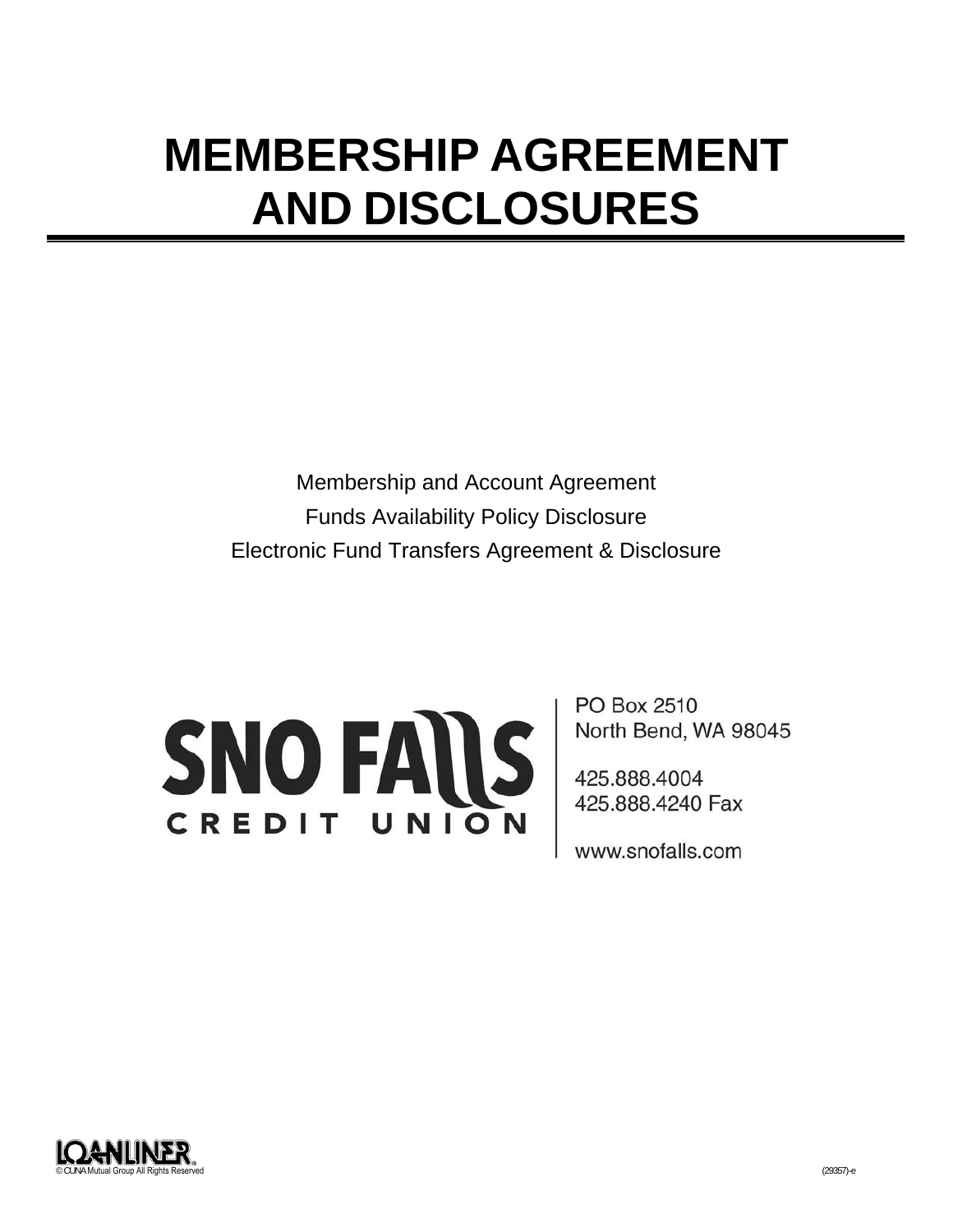# **MEMBERSHIP AGREEMENT AND DISCLOSURES**

Membership and Account Agreement Funds Availability Policy Disclosure Electronic Fund Transfers Agreement & Disclosure



PO Box 2510 North Bend, WA 98045

425.888.4004 425.888.4240 Fax

www.snofalls.com

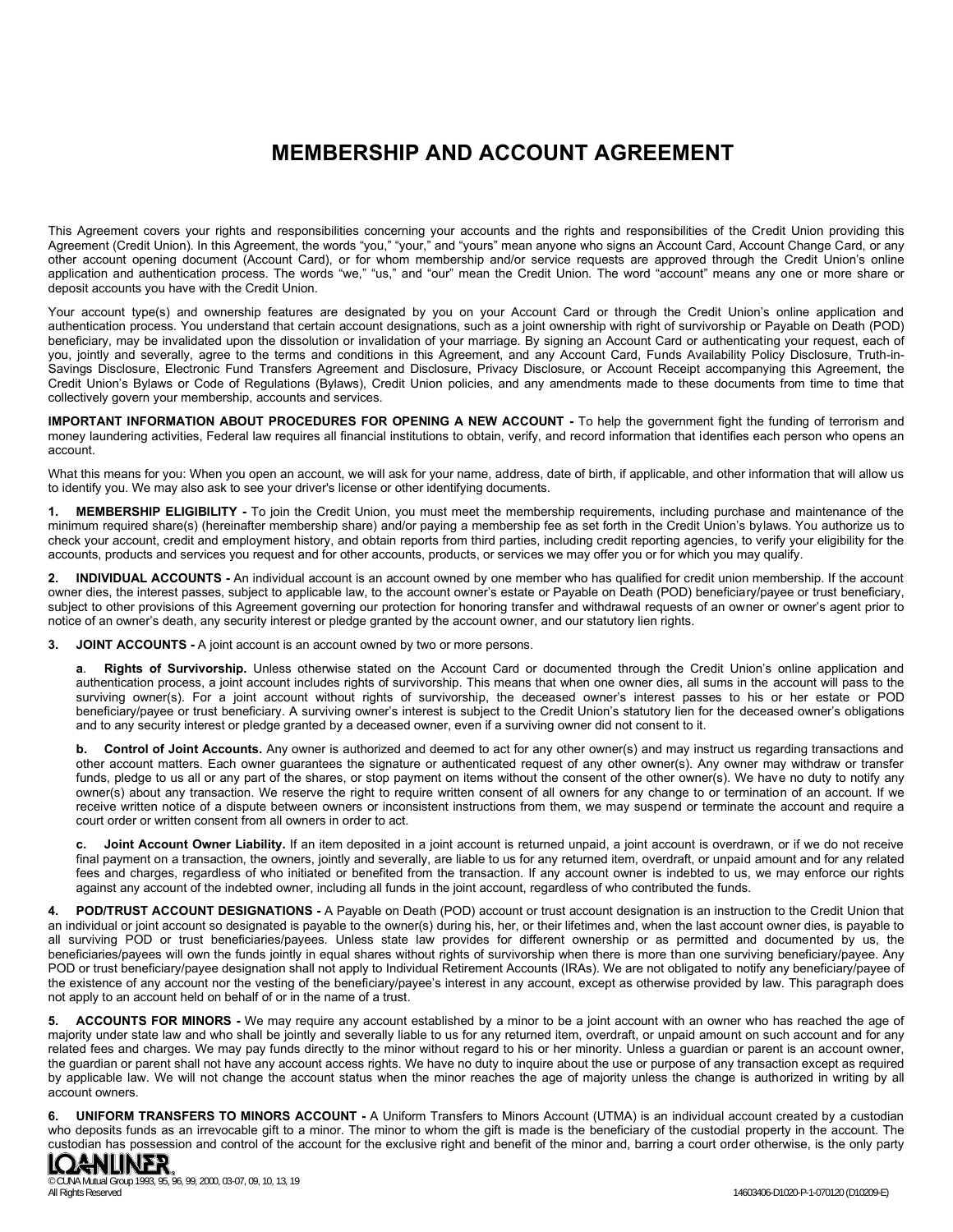## **MEMBERSHIP AND ACCOUNT AGREEMENT**

This Agreement covers your rights and responsibilities concerning your accounts and the rights and responsibilities of the Credit Union providing this Agreement (Credit Union). In this Agreement, the words "you," "your," and "yours" mean anyone who signs an Account Card, Account Change Card, or any other account opening document (Account Card), or for whom membership and/or service requests are approved through the Credit Union's online application and authentication process. The words "we," "us," and "our" mean the Credit Union. The word "account" means any one or more share or deposit accounts you have with the Credit Union.

Your account type(s) and ownership features are designated by you on your Account Card or through the Credit Union's online application and authentication process. You understand that certain account designations, such as a joint ownership with right of survivorship or Payable on Death (POD) beneficiary, may be invalidated upon the dissolution or invalidation of your marriage. By signing an Account Card or authenticating your request, each of you, jointly and severally, agree to the terms and conditions in this Agreement, and any Account Card, Funds Availability Policy Disclosure, Truth-in-Savings Disclosure, Electronic Fund Transfers Agreement and Disclosure, Privacy Disclosure, or Account Receipt accompanying this Agreement, the Credit Union's Bylaws or Code of Regulations (Bylaws), Credit Union policies, and any amendments made to these documents from time to time that collectively govern your membership, accounts and services.

**IMPORTANT INFORMATION ABOUT PROCEDURES FOR OPENING A NEW ACCOUNT -** To help the government fight the funding of terrorism and money laundering activities, Federal law requires all financial institutions to obtain, verify, and record information that identifies each person who opens an account.

What this means for you: When you open an account, we will ask for your name, address, date of birth, if applicable, and other information that will allow us to identify you. We may also ask to see your driver's license or other identifying documents.

**1. MEMBERSHIP ELIGIBILITY -** To join the Credit Union, you must meet the membership requirements, including purchase and maintenance of the minimum required share(s) (hereinafter membership share) and/or paying a membership fee as set forth in the Credit Union's bylaws. You authorize us to check your account, credit and employment history, and obtain reports from third parties, including credit reporting agencies, to verify your eligibility for the accounts, products and services you request and for other accounts, products, or services we may offer you or for which you may qualify.

**2. INDIVIDUAL ACCOUNTS -** An individual account is an account owned by one member who has qualified for credit union membership. If the account owner dies, the interest passes, subject to applicable law, to the account owner's estate or Payable on Death (POD) beneficiary/payee or trust beneficiary, subject to other provisions of this Agreement governing our protection for honoring transfer and withdrawal requests of an owner or owner's agent prior to notice of an owner's death, any security interest or pledge granted by the account owner, and our statutory lien rights.

**3. JOINT ACCOUNTS -** A joint account is an account owned by two or more persons.

**a**. **Rights of Survivorship.** Unless otherwise stated on the Account Card or documented through the Credit Union's online application and authentication process, a joint account includes rights of survivorship. This means that when one owner dies, all sums in the account will pass to the surviving owner(s). For a joint account without rights of survivorship, the deceased owner's interest passes to his or her estate or POD beneficiary/payee or trust beneficiary. A surviving owner's interest is subject to the Credit Union's statutory lien for the deceased owner's obligations and to any security interest or pledge granted by a deceased owner, even if a surviving owner did not consent to it.

**b. Control of Joint Accounts.** Any owner is authorized and deemed to act for any other owner(s) and may instruct us regarding transactions and other account matters. Each owner guarantees the signature or authenticated request of any other owner(s). Any owner may withdraw or transfer funds, pledge to us all or any part of the shares, or stop payment on items without the consent of the other owner(s). We have no duty to notify any owner(s) about any transaction. We reserve the right to require written consent of all owners for any change to or termination of an account. If we receive written notice of a dispute between owners or inconsistent instructions from them, we may suspend or terminate the account and require a court order or written consent from all owners in order to act.

**c. Joint Account Owner Liability.** If an item deposited in a joint account is returned unpaid, a joint account is overdrawn, or if we do not receive final payment on a transaction, the owners, jointly and severally, are liable to us for any returned item, overdraft, or unpaid amount and for any related fees and charges, regardless of who initiated or benefited from the transaction. If any account owner is indebted to us, we may enforce our rights against any account of the indebted owner, including all funds in the joint account, regardless of who contributed the funds.

**4. POD/TRUST ACCOUNT DESIGNATIONS -** A Payable on Death (POD) account or trust account designation is an instruction to the Credit Union that an individual or joint account so designated is payable to the owner(s) during his, her, or their lifetimes and, when the last account owner dies, is payable to all surviving POD or trust beneficiaries/payees. Unless state law provides for different ownership or as permitted and documented by us, the beneficiaries/payees will own the funds jointly in equal shares without rights of survivorship when there is more than one surviving beneficiary/payee. Any POD or trust beneficiary/payee designation shall not apply to Individual Retirement Accounts (IRAs). We are not obligated to notify any beneficiary/payee of the existence of any account nor the vesting of the beneficiary/payee's interest in any account, except as otherwise provided by law. This paragraph does not apply to an account held on behalf of or in the name of a trust.

**5. ACCOUNTS FOR MINORS -** We may require any account established by a minor to be a joint account with an owner who has reached the age of majority under state law and who shall be jointly and severally liable to us for any returned item, overdraft, or unpaid amount on such account and for any related fees and charges. We may pay funds directly to the minor without regard to his or her minority. Unless a guardian or parent is an account owner, the guardian or parent shall not have any account access rights. We have no duty to inquire about the use or purpose of any transaction except as required by applicable law. We will not change the account status when the minor reaches the age of majority unless the change is authorized in writing by all account owners.

**6. UNIFORM TRANSFERS TO MINORS ACCOUNT -** A Uniform Transfers to Minors Account (UTMA) is an individual account created by a custodian who deposits funds as an irrevocable gift to a minor. The minor to whom the gift is made is the beneficiary of the custodial property in the account. The custodian has possession and control of the account for the exclusive right and benefit of the minor and, barring a court order otherwise, is the only party<br>**[QANLINER**]



© CUNA Mutual Group 1993, 95, 96, 99, 2000, 03-07, 09, 10, 13, 19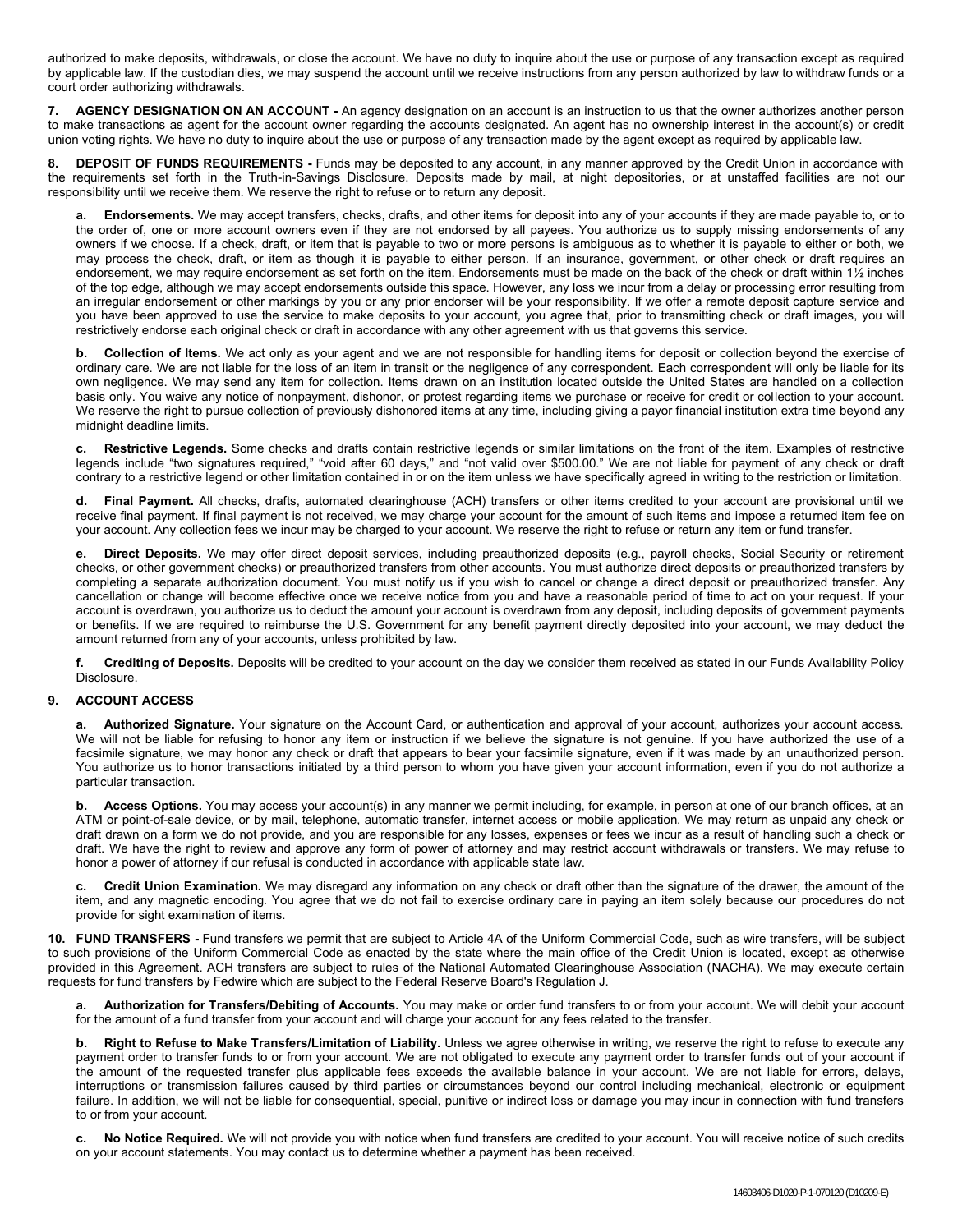authorized to make deposits, withdrawals, or close the account. We have no duty to inquire about the use or purpose of any transaction except as required by applicable law. If the custodian dies, we may suspend the account until we receive instructions from any person authorized by law to withdraw funds or a court order authorizing withdrawals.

**7. AGENCY DESIGNATION ON AN ACCOUNT -** An agency designation on an account is an instruction to us that the owner authorizes another person to make transactions as agent for the account owner regarding the accounts designated. An agent has no ownership interest in the account(s) or credit union voting rights. We have no duty to inquire about the use or purpose of any transaction made by the agent except as required by applicable law.

**8. DEPOSIT OF FUNDS REQUIREMENTS -** Funds may be deposited to any account, in any manner approved by the Credit Union in accordance with the requirements set forth in the Truth-in-Savings Disclosure. Deposits made by mail, at night depositories, or at unstaffed facilities are not our responsibility until we receive them. We reserve the right to refuse or to return any deposit.

**a. Endorsements.** We may accept transfers, checks, drafts, and other items for deposit into any of your accounts if they are made payable to, or to the order of, one or more account owners even if they are not endorsed by all payees. You authorize us to supply missing endorsements of any owners if we choose. If a check, draft, or item that is payable to two or more persons is ambiguous as to whether it is payable to either or both, we may process the check, draft, or item as though it is payable to either person. If an insurance, government, or other check or draft requires an endorsement, we may require endorsement as set forth on the item. Endorsements must be made on the back of the check or draft within 1½ inches of the top edge, although we may accept endorsements outside this space. However, any loss we incur from a delay or processing error resulting from an irregular endorsement or other markings by you or any prior endorser will be your responsibility. If we offer a remote deposit capture service and you have been approved to use the service to make deposits to your account, you agree that, prior to transmitting check or draft images, you will restrictively endorse each original check or draft in accordance with any other agreement with us that governs this service.

**b. Collection of Items.** We act only as your agent and we are not responsible for handling items for deposit or collection beyond the exercise of ordinary care. We are not liable for the loss of an item in transit or the negligence of any correspondent. Each correspondent will only be liable for its own negligence. We may send any item for collection. Items drawn on an institution located outside the United States are handled on a collection basis only. You waive any notice of nonpayment, dishonor, or protest regarding items we purchase or receive for credit or collection to your account. We reserve the right to pursue collection of previously dishonored items at any time, including giving a payor financial institution extra time beyond any midnight deadline limits.

**c. Restrictive Legends.** Some checks and drafts contain restrictive legends or similar limitations on the front of the item. Examples of restrictive legends include "two signatures required," "void after 60 days," and "not valid over \$500.00." We are not liable for payment of any check or draft contrary to a restrictive legend or other limitation contained in or on the item unless we have specifically agreed in writing to the restriction or limitation.

**d. Final Payment.** All checks, drafts, automated clearinghouse (ACH) transfers or other items credited to your account are provisional until we receive final payment. If final payment is not received, we may charge your account for the amount of such items and impose a returned item fee on your account. Any collection fees we incur may be charged to your account. We reserve the right to refuse or return any item or fund transfer.

**e. Direct Deposits.** We may offer direct deposit services, including preauthorized deposits (e.g., payroll checks, Social Security or retirement checks, or other government checks) or preauthorized transfers from other accounts. You must authorize direct deposits or preauthorized transfers by completing a separate authorization document. You must notify us if you wish to cancel or change a direct deposit or preauthorized transfer. Any cancellation or change will become effective once we receive notice from you and have a reasonable period of time to act on your request. If your account is overdrawn, you authorize us to deduct the amount your account is overdrawn from any deposit, including deposits of government payments or benefits. If we are required to reimburse the U.S. Government for any benefit payment directly deposited into your account, we may deduct the amount returned from any of your accounts, unless prohibited by law.

**f. Crediting of Deposits.** Deposits will be credited to your account on the day we consider them received as stated in our Funds Availability Policy Disclosure.

## **9. ACCOUNT ACCESS**

**a. Authorized Signature.** Your signature on the Account Card, or authentication and approval of your account, authorizes your account access. We will not be liable for refusing to honor any item or instruction if we believe the signature is not genuine. If you have authorized the use of a facsimile signature, we may honor any check or draft that appears to bear your facsimile signature, even if it was made by an unauthorized person. You authorize us to honor transactions initiated by a third person to whom you have given your account information, even if you do not authorize a particular transaction.

**b.** Access Options. You may access your account(s) in any manner we permit including, for example, in person at one of our branch offices, at an ATM or point-of-sale device, or by mail, telephone, automatic transfer, internet access or mobile application. We may return as unpaid any check or draft drawn on a form we do not provide, and you are responsible for any losses, expenses or fees we incur as a result of handling such a check or draft. We have the right to review and approve any form of power of attorney and may restrict account withdrawals or transfers. We may refuse to honor a power of attorney if our refusal is conducted in accordance with applicable state law.

**c. Credit Union Examination.** We may disregard any information on any check or draft other than the signature of the drawer, the amount of the item, and any magnetic encoding. You agree that we do not fail to exercise ordinary care in paying an item solely because our procedures do not provide for sight examination of items.

**10. FUND TRANSFERS -** Fund transfers we permit that are subject to Article 4A of the Uniform Commercial Code, such as wire transfers, will be subject to such provisions of the Uniform Commercial Code as enacted by the state where the main office of the Credit Union is located, except as otherwise provided in this Agreement. ACH transfers are subject to rules of the National Automated Clearinghouse Association (NACHA). We may execute certain requests for fund transfers by Fedwire which are subject to the Federal Reserve Board's Regulation J.

**a. Authorization for Transfers/Debiting of Accounts.** You may make or order fund transfers to or from your account. We will debit your account for the amount of a fund transfer from your account and will charge your account for any fees related to the transfer.

**b. Right to Refuse to Make Transfers/Limitation of Liability.** Unless we agree otherwise in writing, we reserve the right to refuse to execute any payment order to transfer funds to or from your account. We are not obligated to execute any payment order to transfer funds out of your account if the amount of the requested transfer plus applicable fees exceeds the available balance in your account. We are not liable for errors, delays, interruptions or transmission failures caused by third parties or circumstances beyond our control including mechanical, electronic or equipment failure. In addition, we will not be liable for consequential, special, punitive or indirect loss or damage you may incur in connection with fund transfers to or from your account.

**c. No Notice Required.** We will not provide you with notice when fund transfers are credited to your account. You will receive notice of such credits on your account statements. You may contact us to determine whether a payment has been received.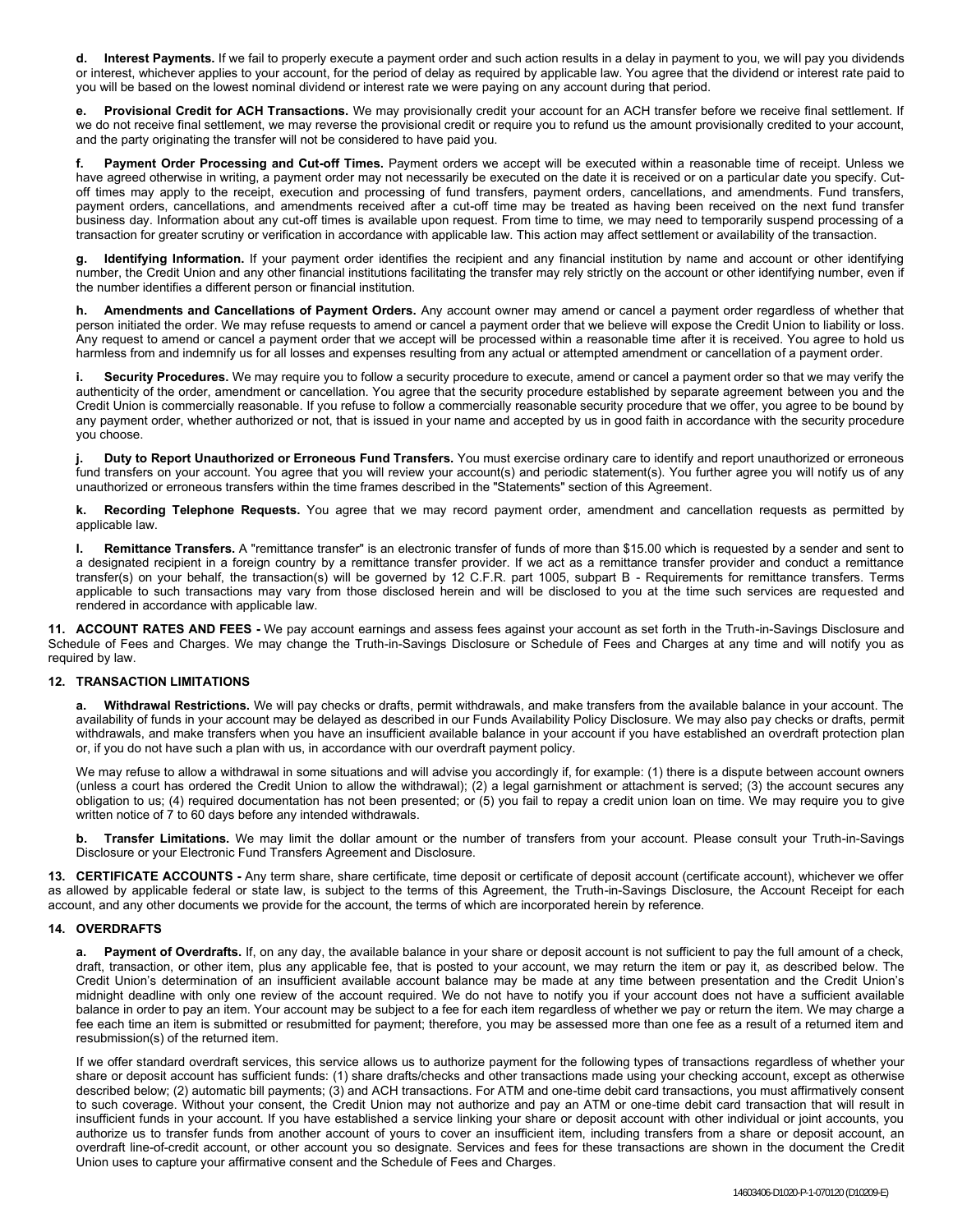**d. Interest Payments.** If we fail to properly execute a payment order and such action results in a delay in payment to you, we will pay you dividends or interest, whichever applies to your account, for the period of delay as required by applicable law. You agree that the dividend or interest rate paid to you will be based on the lowest nominal dividend or interest rate we were paying on any account during that period.

**e. Provisional Credit for ACH Transactions.** We may provisionally credit your account for an ACH transfer before we receive final settlement. If we do not receive final settlement, we may reverse the provisional credit or require you to refund us the amount provisionally credited to your account, and the party originating the transfer will not be considered to have paid you.

Payment Order Processing and Cut-off Times. Payment orders we accept will be executed within a reasonable time of receipt. Unless we have agreed otherwise in writing, a payment order may not necessarily be executed on the date it is received or on a particular date you specify. Cutoff times may apply to the receipt, execution and processing of fund transfers, payment orders, cancellations, and amendments. Fund transfers, payment orders, cancellations, and amendments received after a cut-off time may be treated as having been received on the next fund transfer business day. Information about any cut-off times is available upon request. From time to time, we may need to temporarily suspend processing of a transaction for greater scrutiny or verification in accordance with applicable law. This action may affect settlement or availability of the transaction.

**g. Identifying Information.** If your payment order identifies the recipient and any financial institution by name and account or other identifying number, the Credit Union and any other financial institutions facilitating the transfer may rely strictly on the account or other identifying number, even if the number identifies a different person or financial institution.

**h. Amendments and Cancellations of Payment Orders.** Any account owner may amend or cancel a payment order regardless of whether that person initiated the order. We may refuse requests to amend or cancel a payment order that we believe will expose the Credit Union to liability or loss. Any request to amend or cancel a payment order that we accept will be processed within a reasonable time after it is received. You agree to hold us harmless from and indemnify us for all losses and expenses resulting from any actual or attempted amendment or cancellation of a payment order.

**i. Security Procedures.** We may require you to follow a security procedure to execute, amend or cancel a payment order so that we may verify the authenticity of the order, amendment or cancellation. You agree that the security procedure established by separate agreement between you and the Credit Union is commercially reasonable. If you refuse to follow a commercially reasonable security procedure that we offer, you agree to be bound by any payment order, whether authorized or not, that is issued in your name and accepted by us in good faith in accordance with the security procedure you choose.

**j. Duty to Report Unauthorized or Erroneous Fund Transfers.** You must exercise ordinary care to identify and report unauthorized or erroneous fund transfers on your account. You agree that you will review your account(s) and periodic statement(s). You further agree you will notify us of any unauthorized or erroneous transfers within the time frames described in the "Statements" section of this Agreement.

**k. Recording Telephone Requests.** You agree that we may record payment order, amendment and cancellation requests as permitted by applicable law.

**l. Remittance Transfers.** A "remittance transfer" is an electronic transfer of funds of more than \$15.00 which is requested by a sender and sent to a designated recipient in a foreign country by a remittance transfer provider. If we act as a remittance transfer provider and conduct a remittance transfer(s) on your behalf, the transaction(s) will be governed by 12 C.F.R. part 1005, subpart B - Requirements for remittance transfers. Terms applicable to such transactions may vary from those disclosed herein and will be disclosed to you at the time such services are requested and rendered in accordance with applicable law.

**11. ACCOUNT RATES AND FEES -** We pay account earnings and assess fees against your account as set forth in the Truth-in-Savings Disclosure and Schedule of Fees and Charges. We may change the Truth-in-Savings Disclosure or Schedule of Fees and Charges at any time and will notify you as required by law.

## **12. TRANSACTION LIMITATIONS**

**a. Withdrawal Restrictions.** We will pay checks or drafts, permit withdrawals, and make transfers from the available balance in your account. The availability of funds in your account may be delayed as described in our Funds Availability Policy Disclosure. We may also pay checks or drafts, permit withdrawals, and make transfers when you have an insufficient available balance in your account if you have established an overdraft protection plan or, if you do not have such a plan with us, in accordance with our overdraft payment policy.

We may refuse to allow a withdrawal in some situations and will advise you accordingly if, for example: (1) there is a dispute between account owners (unless a court has ordered the Credit Union to allow the withdrawal); (2) a legal garnishment or attachment is served; (3) the account secures any obligation to us; (4) required documentation has not been presented; or (5) you fail to repay a credit union loan on time. We may require you to give written notice of 7 to 60 days before any intended withdrawals.

**b. Transfer Limitations.** We may limit the dollar amount or the number of transfers from your account. Please consult your Truth-in-Savings Disclosure or your Electronic Fund Transfers Agreement and Disclosure.

**13. CERTIFICATE ACCOUNTS -** Any term share, share certificate, time deposit or certificate of deposit account (certificate account), whichever we offer as allowed by applicable federal or state law, is subject to the terms of this Agreement, the Truth-in-Savings Disclosure, the Account Receipt for each account, and any other documents we provide for the account, the terms of which are incorporated herein by reference.

## **14. OVERDRAFTS**

**a. Payment of Overdrafts.** If, on any day, the available balance in your share or deposit account is not sufficient to pay the full amount of a check, draft, transaction, or other item, plus any applicable fee, that is posted to your account, we may return the item or pay it, as described below. The Credit Union's determination of an insufficient available account balance may be made at any time between presentation and the Credit Union's midnight deadline with only one review of the account required. We do not have to notify you if your account does not have a sufficient available balance in order to pay an item. Your account may be subject to a fee for each item regardless of whether we pay or return the item. We may charge a fee each time an item is submitted or resubmitted for payment; therefore, you may be assessed more than one fee as a result of a returned item and resubmission(s) of the returned item.

If we offer standard overdraft services, this service allows us to authorize payment for the following types of transactions regardless of whether your share or deposit account has sufficient funds: (1) share drafts/checks and other transactions made using your checking account, except as otherwise described below; (2) automatic bill payments; (3) and ACH transactions. For ATM and one-time debit card transactions, you must affirmatively consent to such coverage. Without your consent, the Credit Union may not authorize and pay an ATM or one-time debit card transaction that will result in insufficient funds in your account. If you have established a service linking your share or deposit account with other individual or joint accounts, you authorize us to transfer funds from another account of yours to cover an insufficient item, including transfers from a share or deposit account, an overdraft line-of-credit account, or other account you so designate. Services and fees for these transactions are shown in the document the Credit Union uses to capture your affirmative consent and the Schedule of Fees and Charges.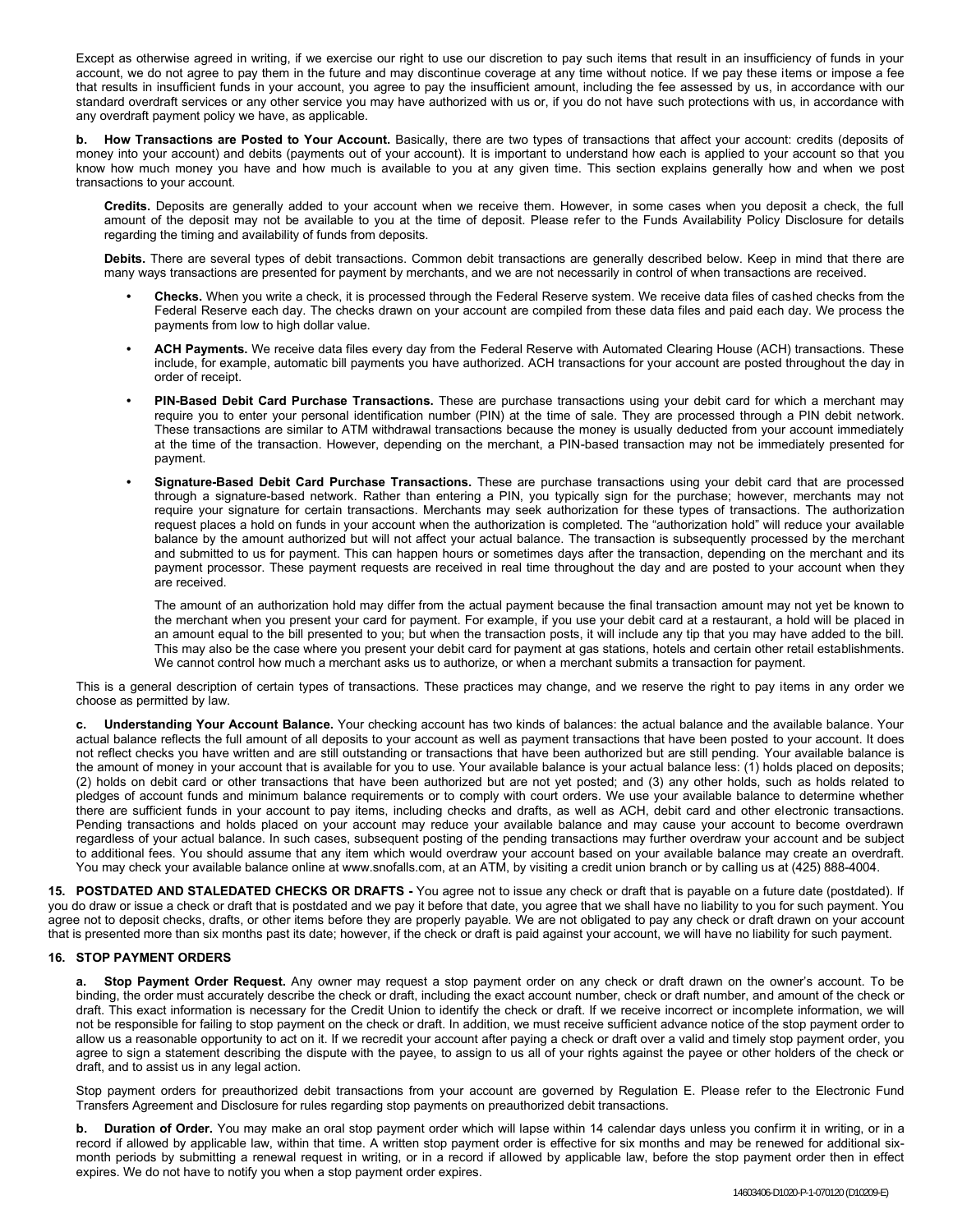Except as otherwise agreed in writing, if we exercise our right to use our discretion to pay such items that result in an insufficiency of funds in your account, we do not agree to pay them in the future and may discontinue coverage at any time without notice. If we pay these items or impose a fee that results in insufficient funds in your account, you agree to pay the insufficient amount, including the fee assessed by us, in accordance with our standard overdraft services or any other service you may have authorized with us or, if you do not have such protections with us, in accordance with any overdraft payment policy we have, as applicable.

**b. How Transactions are Posted to Your Account.** Basically, there are two types of transactions that affect your account: credits (deposits of money into your account) and debits (payments out of your account). It is important to understand how each is applied to your account so that you know how much money you have and how much is available to you at any given time. This section explains generally how and when we post transactions to your account.

**Credits.** Deposits are generally added to your account when we receive them. However, in some cases when you deposit a check, the full amount of the deposit may not be available to you at the time of deposit. Please refer to the Funds Availability Policy Disclosure for details regarding the timing and availability of funds from deposits.

**Debits.** There are several types of debit transactions. Common debit transactions are generally described below. Keep in mind that there are many ways transactions are presented for payment by merchants, and we are not necessarily in control of when transactions are received.

- **• Checks.** When you write a check, it is processed through the Federal Reserve system. We receive data files of cashed checks from the Federal Reserve each day. The checks drawn on your account are compiled from these data files and paid each day. We process the payments from low to high dollar value.
- **• ACH Payments.** We receive data files every day from the Federal Reserve with Automated Clearing House (ACH) transactions. These include, for example, automatic bill payments you have authorized. ACH transactions for your account are posted throughout the day in order of receipt.
- **• PIN-Based Debit Card Purchase Transactions.** These are purchase transactions using your debit card for which a merchant may require you to enter your personal identification number (PIN) at the time of sale. They are processed through a PIN debit network. These transactions are similar to ATM withdrawal transactions because the money is usually deducted from your account immediately at the time of the transaction. However, depending on the merchant, a PIN-based transaction may not be immediately presented for payment.
- **• Signature-Based Debit Card Purchase Transactions.** These are purchase transactions using your debit card that are processed through a signature-based network. Rather than entering a PIN, you typically sign for the purchase; however, merchants may not require your signature for certain transactions. Merchants may seek authorization for these types of transactions. The authorization request places a hold on funds in your account when the authorization is completed. The "authorization hold" will reduce your available balance by the amount authorized but will not affect your actual balance. The transaction is subsequently processed by the merchant and submitted to us for payment. This can happen hours or sometimes days after the transaction, depending on the merchant and its payment processor. These payment requests are received in real time throughout the day and are posted to your account when they are received.

The amount of an authorization hold may differ from the actual payment because the final transaction amount may not yet be known to the merchant when you present your card for payment. For example, if you use your debit card at a restaurant, a hold will be placed in an amount equal to the bill presented to you; but when the transaction posts, it will include any tip that you may have added to the bill. This may also be the case where you present your debit card for payment at gas stations, hotels and certain other retail establishments. We cannot control how much a merchant asks us to authorize, or when a merchant submits a transaction for payment.

This is a general description of certain types of transactions. These practices may change, and we reserve the right to pay items in any order we choose as permitted by law.

**c. Understanding Your Account Balance.** Your checking account has two kinds of balances: the actual balance and the available balance. Your actual balance reflects the full amount of all deposits to your account as well as payment transactions that have been posted to your account. It does not reflect checks you have written and are still outstanding or transactions that have been authorized but are still pending. Your available balance is the amount of money in your account that is available for you to use. Your available balance is your actual balance less: (1) holds placed on deposits; (2) holds on debit card or other transactions that have been authorized but are not yet posted; and (3) any other holds, such as holds related to pledges of account funds and minimum balance requirements or to comply with court orders. We use your available balance to determine whether there are sufficient funds in your account to pay items, including checks and drafts, as well as ACH, debit card and other electronic transactions. Pending transactions and holds placed on your account may reduce your available balance and may cause your account to become overdrawn regardless of your actual balance. In such cases, subsequent posting of the pending transactions may further overdraw your account and be subject to additional fees. You should assume that any item which would overdraw your account based on your available balance may create an overdraft. You may check your available balance online at www.snofalls.com, at an ATM, by visiting a credit union branch or by calling us at (425) 888-4004.

**15. POSTDATED AND STALEDATED CHECKS OR DRAFTS -** You agree not to issue any check or draft that is payable on a future date (postdated). If you do draw or issue a check or draft that is postdated and we pay it before that date, you agree that we shall have no liability to you for such payment. You agree not to deposit checks, drafts, or other items before they are properly payable. We are not obligated to pay any check or draft drawn on your account that is presented more than six months past its date; however, if the check or draft is paid against your account, we will have no liability for such payment.

## **16. STOP PAYMENT ORDERS**

**a. Stop Payment Order Request.** Any owner may request a stop payment order on any check or draft drawn on the owner's account. To be binding, the order must accurately describe the check or draft, including the exact account number, check or draft number, and amount of the check or draft. This exact information is necessary for the Credit Union to identify the check or draft. If we receive incorrect or incomplete information, we will not be responsible for failing to stop payment on the check or draft. In addition, we must receive sufficient advance notice of the stop payment order to allow us a reasonable opportunity to act on it. If we recredit your account after paying a check or draft over a valid and timely stop payment order, you agree to sign a statement describing the dispute with the payee, to assign to us all of your rights against the payee or other holders of the check or draft, and to assist us in any legal action.

Stop payment orders for preauthorized debit transactions from your account are governed by Regulation E. Please refer to the Electronic Fund Transfers Agreement and Disclosure for rules regarding stop payments on preauthorized debit transactions.

**b. Duration of Order.** You may make an oral stop payment order which will lapse within 14 calendar days unless you confirm it in writing, or in a record if allowed by applicable law, within that time. A written stop payment order is effective for six months and may be renewed for additional sixmonth periods by submitting a renewal request in writing, or in a record if allowed by applicable law, before the stop payment order then in effect expires. We do not have to notify you when a stop payment order expires.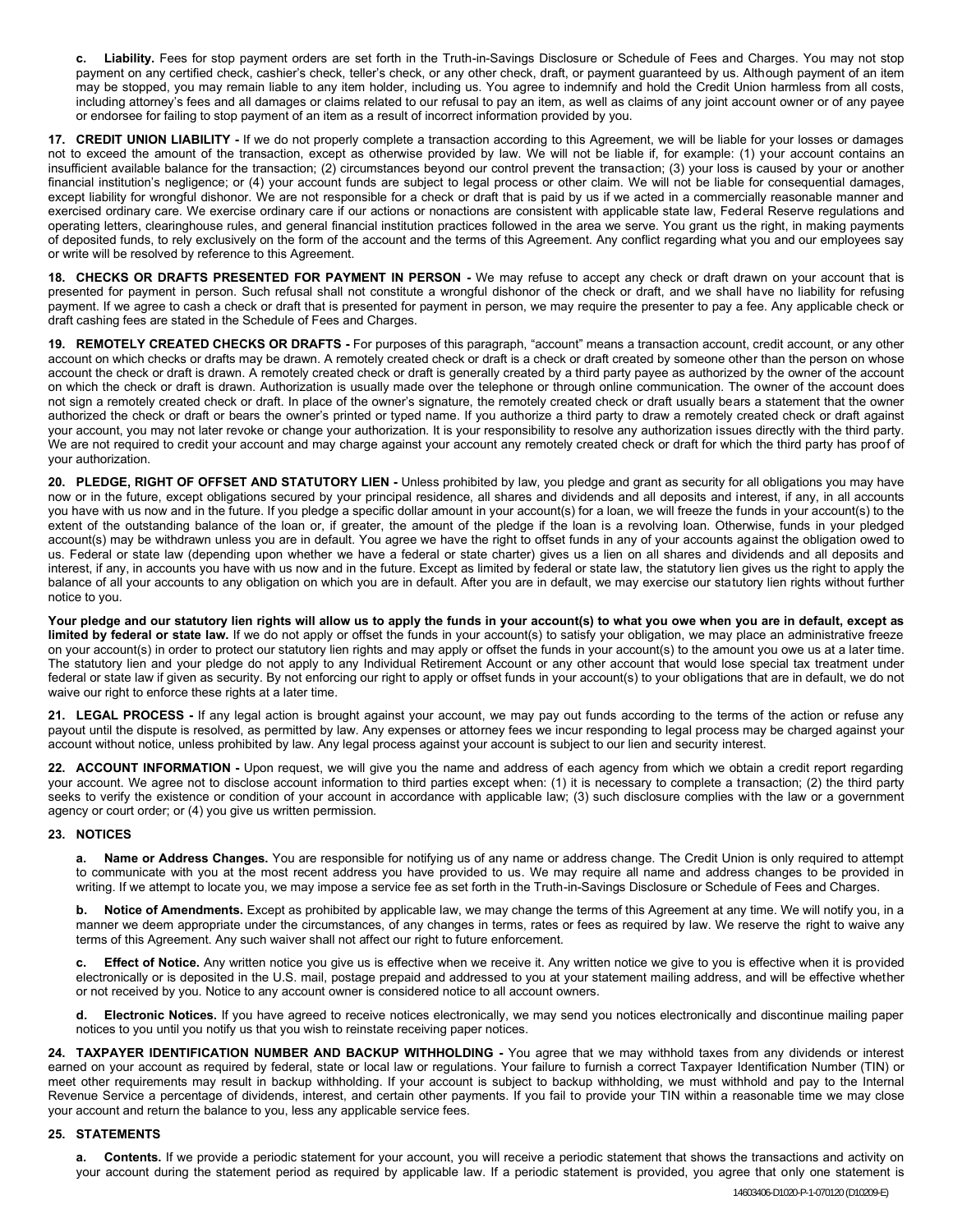**c. Liability.** Fees for stop payment orders are set forth in the Truth-in-Savings Disclosure or Schedule of Fees and Charges. You may not stop payment on any certified check, cashier's check, teller's check, or any other check, draft, or payment guaranteed by us. Although payment of an item may be stopped, you may remain liable to any item holder, including us. You agree to indemnify and hold the Credit Union harmless from all costs, including attorney's fees and all damages or claims related to our refusal to pay an item, as well as claims of any joint account owner or of any payee or endorsee for failing to stop payment of an item as a result of incorrect information provided by you.

**17. CREDIT UNION LIABILITY -** If we do not properly complete a transaction according to this Agreement, we will be liable for your losses or damages not to exceed the amount of the transaction, except as otherwise provided by law. We will not be liable if, for example: (1) your account contains an insufficient available balance for the transaction; (2) circumstances beyond our control prevent the transaction; (3) your loss is caused by your or another financial institution's negligence; or (4) your account funds are subject to legal process or other claim. We will not be liable for consequential damages, except liability for wrongful dishonor. We are not responsible for a check or draft that is paid by us if we acted in a commercially reasonable manner and exercised ordinary care. We exercise ordinary care if our actions or nonactions are consistent with applicable state law, Federal Reserve regulations and operating letters, clearinghouse rules, and general financial institution practices followed in the area we serve. You grant us the right, in making payments of deposited funds, to rely exclusively on the form of the account and the terms of this Agreement. Any conflict regarding what you and our employees say or write will be resolved by reference to this Agreement.

**18. CHECKS OR DRAFTS PRESENTED FOR PAYMENT IN PERSON -** We may refuse to accept any check or draft drawn on your account that is presented for payment in person. Such refusal shall not constitute a wrongful dishonor of the check or draft, and we shall have no liability for refusing payment. If we agree to cash a check or draft that is presented for payment in person, we may require the presenter to pay a fee. Any applicable check or draft cashing fees are stated in the Schedule of Fees and Charges.

**19. REMOTELY CREATED CHECKS OR DRAFTS -** For purposes of this paragraph, "account" means a transaction account, credit account, or any other account on which checks or drafts may be drawn. A remotely created check or draft is a check or draft created by someone other than the person on whose account the check or draft is drawn. A remotely created check or draft is generally created by a third party payee as authorized by the owner of the account on which the check or draft is drawn. Authorization is usually made over the telephone or through online communication. The owner of the account does not sign a remotely created check or draft. In place of the owner's signature, the remotely created check or draft usually bears a statement that the owner authorized the check or draft or bears the owner's printed or typed name. If you authorize a third party to draw a remotely created check or draft against your account, you may not later revoke or change your authorization. It is your responsibility to resolve any authorization issues directly with the third party. We are not required to credit your account and may charge against your account any remotely created check or draft for which the third party has proof of your authorization.

**20. PLEDGE, RIGHT OF OFFSET AND STATUTORY LIEN -** Unless prohibited by law, you pledge and grant as security for all obligations you may have now or in the future, except obligations secured by your principal residence, all shares and dividends and all deposits and interest, if any, in all accounts you have with us now and in the future. If you pledge a specific dollar amount in your account(s) for a loan, we will freeze the funds in your account(s) to the extent of the outstanding balance of the loan or, if greater, the amount of the pledge if the loan is a revolving loan. Otherwise, funds in your pledged account(s) may be withdrawn unless you are in default. You agree we have the right to offset funds in any of your accounts against the obligation owed to us. Federal or state law (depending upon whether we have a federal or state charter) gives us a lien on all shares and dividends and all deposits and interest, if any, in accounts you have with us now and in the future. Except as limited by federal or state law, the statutory lien gives us the right to apply the balance of all your accounts to any obligation on which you are in default. After you are in default, we may exercise our statutory lien rights without further notice to you.

**Your pledge and our statutory lien rights will allow us to apply the funds in your account(s) to what you owe when you are in default, except as limited by federal or state law.** If we do not apply or offset the funds in your account(s) to satisfy your obligation, we may place an administrative freeze on your account(s) in order to protect our statutory lien rights and may apply or offset the funds in your account(s) to the amount you owe us at a later time. The statutory lien and your pledge do not apply to any Individual Retirement Account or any other account that would lose special tax treatment under federal or state law if given as security. By not enforcing our right to apply or offset funds in your account(s) to your obligations that are in default, we do not waive our right to enforce these rights at a later time.

**21. LEGAL PROCESS -** If any legal action is brought against your account, we may pay out funds according to the terms of the action or refuse any payout until the dispute is resolved, as permitted by law. Any expenses or attorney fees we incur responding to legal process may be charged against your account without notice, unless prohibited by law. Any legal process against your account is subject to our lien and security interest.

**22. ACCOUNT INFORMATION -** Upon request, we will give you the name and address of each agency from which we obtain a credit report regarding your account. We agree not to disclose account information to third parties except when: (1) it is necessary to complete a transaction; (2) the third party seeks to verify the existence or condition of your account in accordance with applicable law; (3) such disclosure complies with the law or a government agency or court order; or (4) you give us written permission.

## **23. NOTICES**

**a. Name or Address Changes.** You are responsible for notifying us of any name or address change. The Credit Union is only required to attempt to communicate with you at the most recent address you have provided to us. We may require all name and address changes to be provided in writing. If we attempt to locate you, we may impose a service fee as set forth in the Truth-in-Savings Disclosure or Schedule of Fees and Charges.

**b.** Notice of Amendments. Except as prohibited by applicable law, we may change the terms of this Agreement at any time. We will notify you, in a manner we deem appropriate under the circumstances, of any changes in terms, rates or fees as required by law. We reserve the right to waive any terms of this Agreement. Any such waiver shall not affect our right to future enforcement.

**c. Effect of Notice.** Any written notice you give us is effective when we receive it. Any written notice we give to you is effective when it is provided electronically or is deposited in the U.S. mail, postage prepaid and addressed to you at your statement mailing address, and will be effective whether or not received by you. Notice to any account owner is considered notice to all account owners.

**d. Electronic Notices.** If you have agreed to receive notices electronically, we may send you notices electronically and discontinue mailing paper notices to you until you notify us that you wish to reinstate receiving paper notices.

**24. TAXPAYER IDENTIFICATION NUMBER AND BACKUP WITHHOLDING -** You agree that we may withhold taxes from any dividends or interest earned on your account as required by federal, state or local law or regulations. Your failure to furnish a correct Taxpayer Identification Number (TIN) or meet other requirements may result in backup withholding. If your account is subject to backup withholding, we must withhold and pay to the Internal Revenue Service a percentage of dividends, interest, and certain other payments. If you fail to provide your TIN within a reasonable time we may close your account and return the balance to you, less any applicable service fees.

## **25. STATEMENTS**

**a. Contents.** If we provide a periodic statement for your account, you will receive a periodic statement that shows the transactions and activity on your account during the statement period as required by applicable law. If a periodic statement is provided, you agree that only one statement is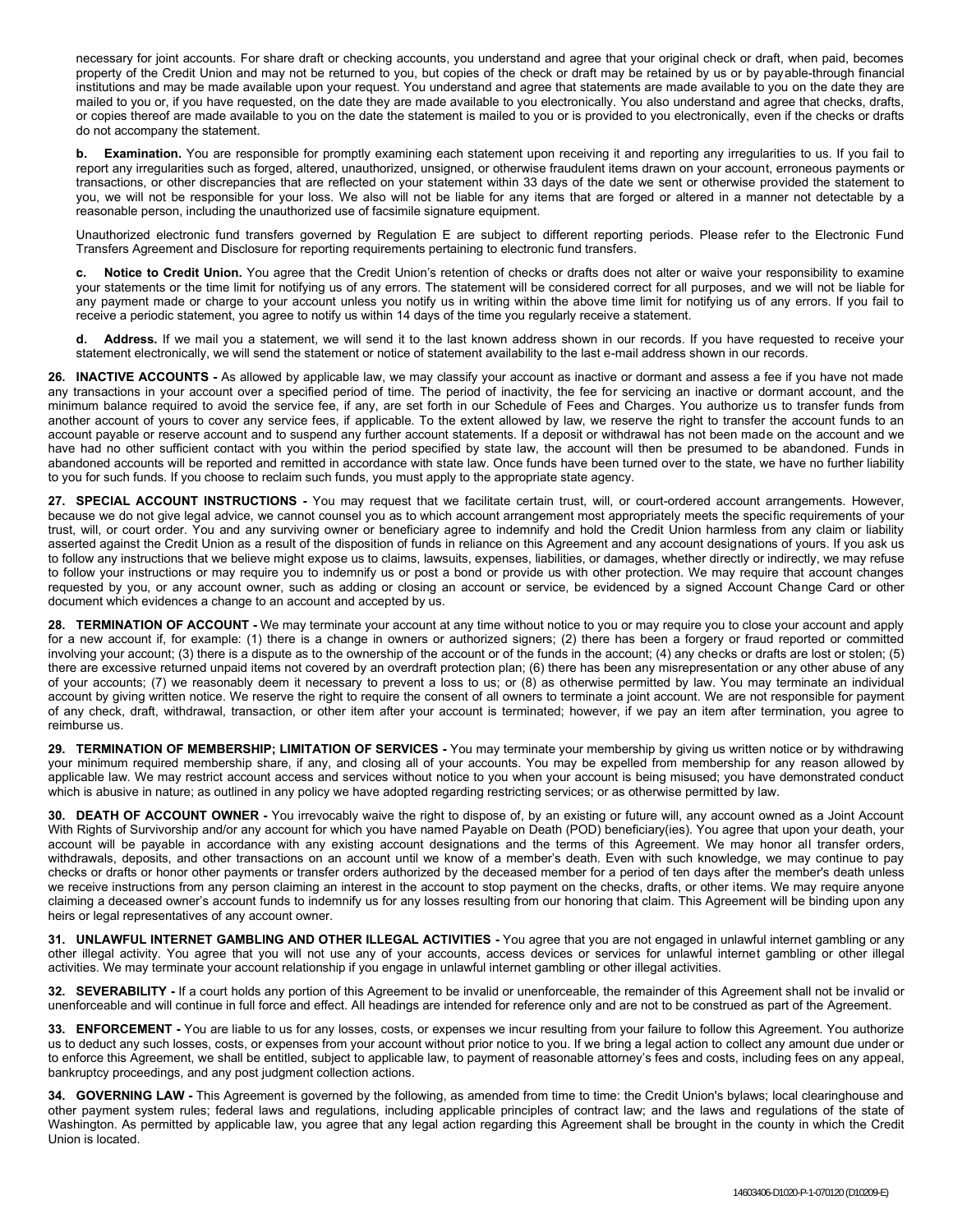necessary for joint accounts. For share draft or checking accounts, you understand and agree that your original check or draft, when paid, becomes property of the Credit Union and may not be returned to you, but copies of the check or draft may be retained by us or by payable-through financial institutions and may be made available upon your request. You understand and agree that statements are made available to you on the date they are mailed to you or, if you have requested, on the date they are made available to you electronically. You also understand and agree that checks, drafts, or copies thereof are made available to you on the date the statement is mailed to you or is provided to you electronically, even if the checks or drafts do not accompany the statement.

**b. Examination.** You are responsible for promptly examining each statement upon receiving it and reporting any irregularities to us. If you fail to report any irregularities such as forged, altered, unauthorized, unsigned, or otherwise fraudulent items drawn on your account, erroneous payments or transactions, or other discrepancies that are reflected on your statement within 33 days of the date we sent or otherwise provided the statement to you, we will not be responsible for your loss. We also will not be liable for any items that are forged or altered in a manner not detectable by a reasonable person, including the unauthorized use of facsimile signature equipment.

Unauthorized electronic fund transfers governed by Regulation E are subject to different reporting periods. Please refer to the Electronic Fund Transfers Agreement and Disclosure for reporting requirements pertaining to electronic fund transfers.

**c. Notice to Credit Union.** You agree that the Credit Union's retention of checks or drafts does not alter or waive your responsibility to examine your statements or the time limit for notifying us of any errors. The statement will be considered correct for all purposes, and we will not be liable for any payment made or charge to your account unless you notify us in writing within the above time limit for notifying us of any errors. If you fail to receive a periodic statement, you agree to notify us within 14 days of the time you regularly receive a statement.

**d. Address.** If we mail you a statement, we will send it to the last known address shown in our records. If you have requested to receive your statement electronically, we will send the statement or notice of statement availability to the last e-mail address shown in our records.

**26. INACTIVE ACCOUNTS -** As allowed by applicable law, we may classify your account as inactive or dormant and assess a fee if you have not made any transactions in your account over a specified period of time. The period of inactivity, the fee for servicing an inactive or dormant account, and the minimum balance required to avoid the service fee, if any, are set forth in our Schedule of Fees and Charges. You authorize us to transfer funds from another account of yours to cover any service fees, if applicable. To the extent allowed by law, we reserve the right to transfer the account funds to an account payable or reserve account and to suspend any further account statements. If a deposit or withdrawal has not been made on the account and we have had no other sufficient contact with you within the period specified by state law, the account will then be presumed to be abandoned. Funds in abandoned accounts will be reported and remitted in accordance with state law. Once funds have been turned over to the state, we have no further liability to you for such funds. If you choose to reclaim such funds, you must apply to the appropriate state agency.

**27. SPECIAL ACCOUNT INSTRUCTIONS -** You may request that we facilitate certain trust, will, or court-ordered account arrangements. However, because we do not give legal advice, we cannot counsel you as to which account arrangement most appropriately meets the specific requirements of your trust, will, or court order. You and any surviving owner or beneficiary agree to indemnify and hold the Credit Union harmless from any claim or liability asserted against the Credit Union as a result of the disposition of funds in reliance on this Agreement and any account designations of yours. If you ask us to follow any instructions that we believe might expose us to claims, lawsuits, expenses, liabilities, or damages, whether directly or indirectly, we may refuse to follow your instructions or may require you to indemnify us or post a bond or provide us with other protection. We may require that account changes requested by you, or any account owner, such as adding or closing an account or service, be evidenced by a signed Account Change Card or other document which evidences a change to an account and accepted by us.

**28. TERMINATION OF ACCOUNT -** We may terminate your account at any time without notice to you or may require you to close your account and apply for a new account if, for example: (1) there is a change in owners or authorized signers; (2) there has been a forgery or fraud reported or committed involving your account; (3) there is a dispute as to the ownership of the account or of the funds in the account; (4) any checks or drafts are lost or stolen; (5) there are excessive returned unpaid items not covered by an overdraft protection plan; (6) there has been any misrepresentation or any other abuse of any of your accounts; (7) we reasonably deem it necessary to prevent a loss to us; or (8) as otherwise permitted by law. You may terminate an individual account by giving written notice. We reserve the right to require the consent of all owners to terminate a joint account. We are not responsible for payment of any check, draft, withdrawal, transaction, or other item after your account is terminated; however, if we pay an item after termination, you agree to reimburse us.

**29. TERMINATION OF MEMBERSHIP; LIMITATION OF SERVICES -** You may terminate your membership by giving us written notice or by withdrawing your minimum required membership share, if any, and closing all of your accounts. You may be expelled from membership for any reason allowed by applicable law. We may restrict account access and services without notice to you when your account is being misused; you have demonstrated conduct which is abusive in nature; as outlined in any policy we have adopted regarding restricting services; or as otherwise permitted by law.

**30. DEATH OF ACCOUNT OWNER -** You irrevocably waive the right to dispose of, by an existing or future will, any account owned as a Joint Account With Rights of Survivorship and/or any account for which you have named Payable on Death (POD) beneficiary(ies). You agree that upon your death, your account will be payable in accordance with any existing account designations and the terms of this Agreement. We may honor all transfer orders, withdrawals, deposits, and other transactions on an account until we know of a member's death. Even with such knowledge, we may continue to pay checks or drafts or honor other payments or transfer orders authorized by the deceased member for a period of ten days after the member's death unless we receive instructions from any person claiming an interest in the account to stop payment on the checks, drafts, or other items. We may require anyone claiming a deceased owner's account funds to indemnify us for any losses resulting from our honoring that claim. This Agreement will be binding upon any heirs or legal representatives of any account owner.

**31. UNLAWFUL INTERNET GAMBLING AND OTHER ILLEGAL ACTIVITIES -** You agree that you are not engaged in unlawful internet gambling or any other illegal activity. You agree that you will not use any of your accounts, access devices or services for unlawful internet gambling or other illegal activities. We may terminate your account relationship if you engage in unlawful internet gambling or other illegal activities.

**32. SEVERABILITY -** If a court holds any portion of this Agreement to be invalid or unenforceable, the remainder of this Agreement shall not be invalid or unenforceable and will continue in full force and effect. All headings are intended for reference only and are not to be construed as part of the Agreement.

**33. ENFORCEMENT -** You are liable to us for any losses, costs, or expenses we incur resulting from your failure to follow this Agreement. You authorize us to deduct any such losses, costs, or expenses from your account without prior notice to you. If we bring a legal action to collect any amount due under or to enforce this Agreement, we shall be entitled, subject to applicable law, to payment of reasonable attorney's fees and costs, including fees on any appeal, bankruptcy proceedings, and any post judgment collection actions.

**34. GOVERNING LAW -** This Agreement is governed by the following, as amended from time to time: the Credit Union's bylaws; local clearinghouse and other payment system rules; federal laws and regulations, including applicable principles of contract law; and the laws and regulations of the state of Washington. As permitted by applicable law, you agree that any legal action regarding this Agreement shall be brought in the county in which the Credit Union is located.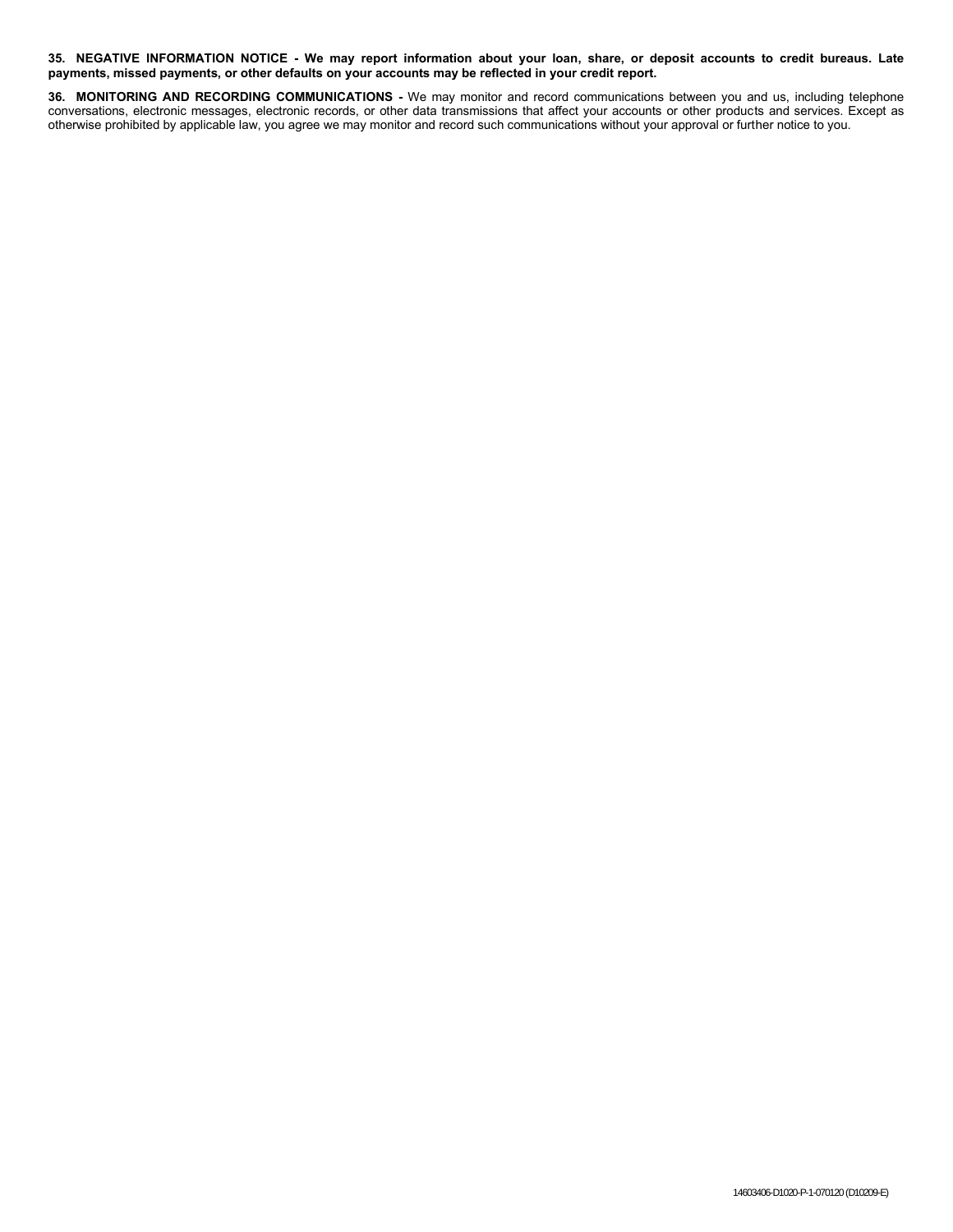**35. NEGATIVE INFORMATION NOTICE - We may report information about your loan, share, or deposit accounts to credit bureaus. Late payments, missed payments, or other defaults on your accounts may be reflected in your credit report.**

**36. MONITORING AND RECORDING COMMUNICATIONS -** We may monitor and record communications between you and us, including telephone conversations, electronic messages, electronic records, or other data transmissions that affect your accounts or other products and services. Except as otherwise prohibited by applicable law, you agree we may monitor and record such communications without your approval or further notice to you.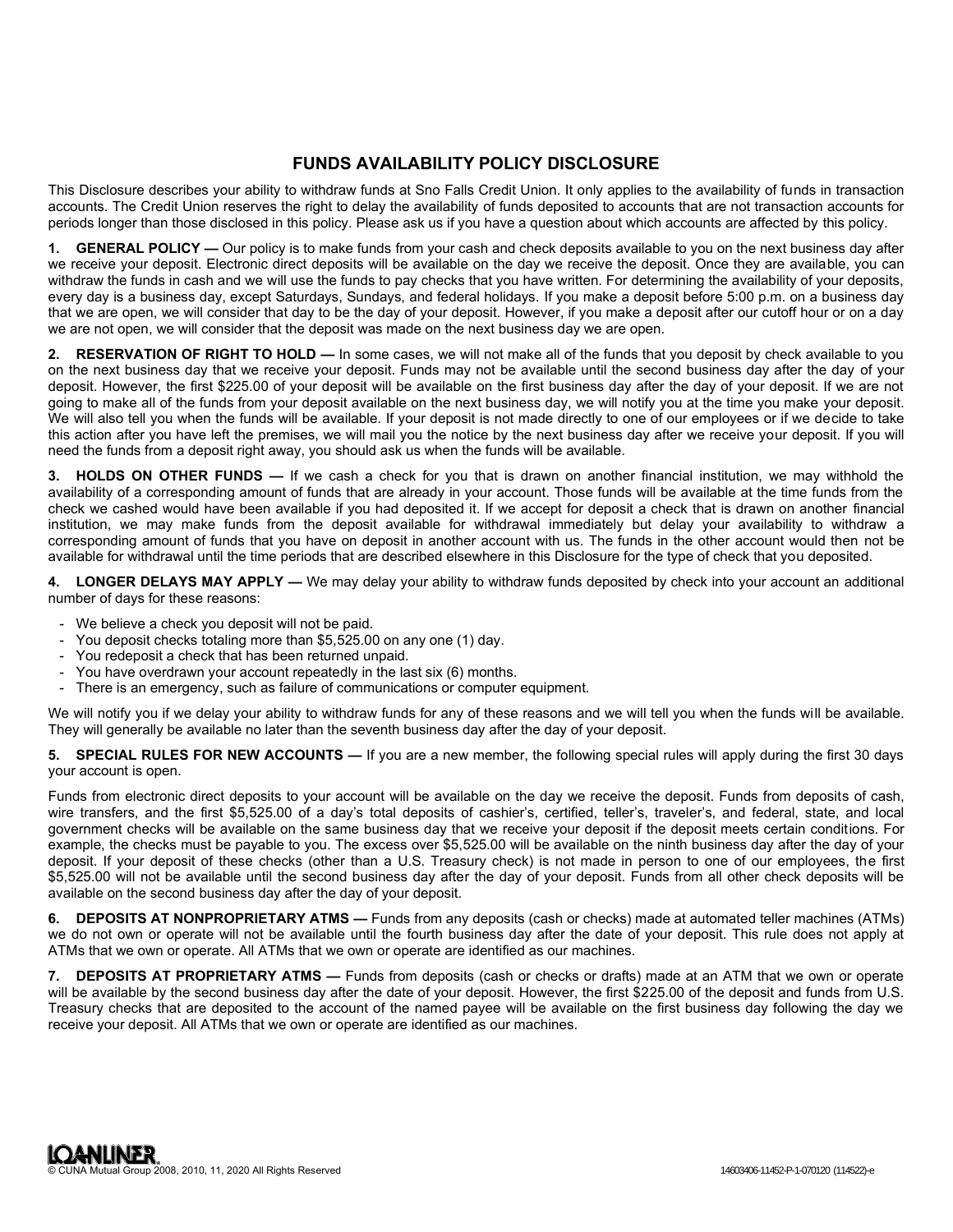## **FUNDS AVAILABILITY POLICY DISCLOSURE**

This Disclosure describes your ability to withdraw funds at Sno Falls Credit Union. It only applies to the availability of funds in transaction accounts. The Credit Union reserves the right to delay the availability of funds deposited to accounts that are not transaction accounts for periods longer than those disclosed in this policy. Please ask us if you have a question about which accounts are affected by this policy.

**1. GENERAL POLICY —** Our policy is to make funds from your cash and check deposits available to you on the next business day after we receive your deposit. Electronic direct deposits will be available on the day we receive the deposit. Once they are available, you can withdraw the funds in cash and we will use the funds to pay checks that you have written. For determining the availability of your deposits, every day is a business day, except Saturdays, Sundays, and federal holidays. If you make a deposit before 5:00 p.m. on a business day that we are open, we will consider that day to be the day of your deposit. However, if you make a deposit after our cutoff hour or on a day we are not open, we will consider that the deposit was made on the next business day we are open.

**2. RESERVATION OF RIGHT TO HOLD —** In some cases, we will not make all of the funds that you deposit by check available to you on the next business day that we receive your deposit. Funds may not be available until the second business day after the day of your deposit. However, the first \$225.00 of your deposit will be available on the first business day after the day of your deposit. If we are not going to make all of the funds from your deposit available on the next business day, we will notify you at the time you make your deposit. We will also tell you when the funds will be available. If your deposit is not made directly to one of our employees or if we decide to take this action after you have left the premises, we will mail you the notice by the next business day after we receive your deposit. If you will need the funds from a deposit right away, you should ask us when the funds will be available.

**3. HOLDS ON OTHER FUNDS —** If we cash a check for you that is drawn on another financial institution, we may withhold the availability of a corresponding amount of funds that are already in your account. Those funds will be available at the time funds from the check we cashed would have been available if you had deposited it. If we accept for deposit a check that is drawn on another financial institution, we may make funds from the deposit available for withdrawal immediately but delay your availability to withdraw a corresponding amount of funds that you have on deposit in another account with us. The funds in the other account would then not be available for withdrawal until the time periods that are described elsewhere in this Disclosure for the type of check that you deposited.

**4. LONGER DELAYS MAY APPLY —** We may delay your ability to withdraw funds deposited by check into your account an additional number of days for these reasons:

- We believe a check you deposit will not be paid.
- You deposit checks totaling more than \$5,525.00 on any one (1) day.
- You redeposit a check that has been returned unpaid.
- You have overdrawn your account repeatedly in the last six (6) months.
- There is an emergency, such as failure of communications or computer equipment.

We will notify you if we delay your ability to withdraw funds for any of these reasons and we will tell you when the funds will be available. They will generally be available no later than the seventh business day after the day of your deposit.

**5. SPECIAL RULES FOR NEW ACCOUNTS —** If you are a new member, the following special rules will apply during the first 30 days your account is open.

Funds from electronic direct deposits to your account will be available on the day we receive the deposit. Funds from deposits of cash, wire transfers, and the first \$5,525.00 of a day's total deposits of cashier's, certified, teller's, traveler's, and federal, state, and local government checks will be available on the same business day that we receive your deposit if the deposit meets certain conditions. For example, the checks must be payable to you. The excess over \$5,525.00 will be available on the ninth business day after the day of your deposit. If your deposit of these checks (other than a U.S. Treasury check) is not made in person to one of our employees, the first \$5,525.00 will not be available until the second business day after the day of your deposit. Funds from all other check deposits will be available on the second business day after the day of your deposit.

**6. DEPOSITS AT NONPROPRIETARY ATMS —** Funds from any deposits (cash or checks) made at automated teller machines (ATMs) we do not own or operate will not be available until the fourth business day after the date of your deposit. This rule does not apply at ATMs that we own or operate. All ATMs that we own or operate are identified as our machines.

**7. DEPOSITS AT PROPRIETARY ATMS —** Funds from deposits (cash or checks or drafts) made at an ATM that we own or operate will be available by the second business day after the date of your deposit. However, the first \$225.00 of the deposit and funds from U.S. Treasury checks that are deposited to the account of the named payee will be available on the first business day following the day we receive your deposit. All ATMs that we own or operate are identified as our machines.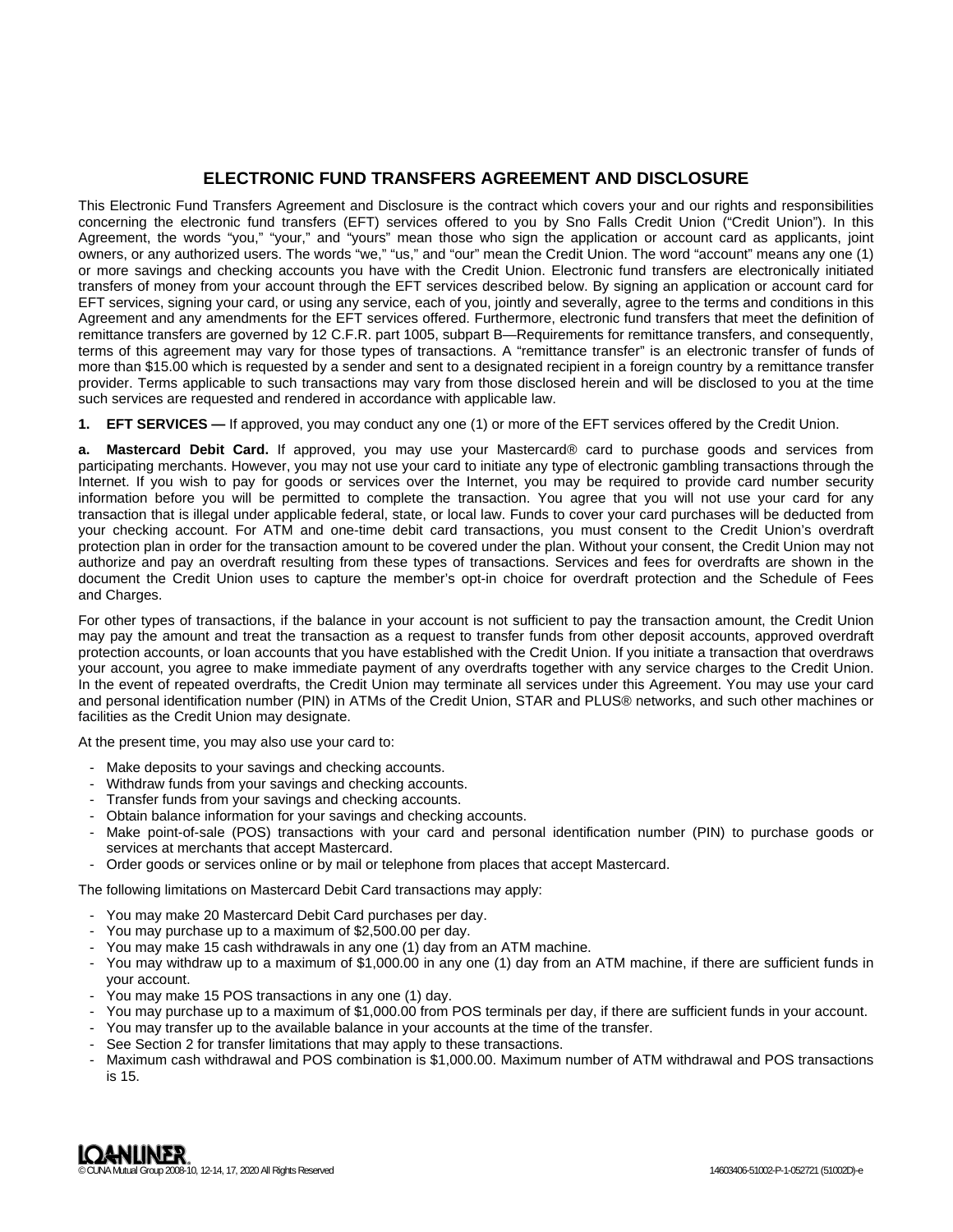## **ELECTRONIC FUND TRANSFERS AGREEMENT AND DISCLOSURE**

This Electronic Fund Transfers Agreement and Disclosure is the contract which covers your and our rights and responsibilities concerning the electronic fund transfers (EFT) services offered to you by Sno Falls Credit Union ("Credit Union"). In this Agreement, the words "you," "your," and "yours" mean those who sign the application or account card as applicants, joint owners, or any authorized users. The words "we," "us," and "our" mean the Credit Union. The word "account" means any one (1) or more savings and checking accounts you have with the Credit Union. Electronic fund transfers are electronically initiated transfers of money from your account through the EFT services described below. By signing an application or account card for EFT services, signing your card, or using any service, each of you, jointly and severally, agree to the terms and conditions in this Agreement and any amendments for the EFT services offered. Furthermore, electronic fund transfers that meet the definition of remittance transfers are governed by 12 C.F.R. part 1005, subpart B—Requirements for remittance transfers, and consequently, terms of this agreement may vary for those types of transactions. A "remittance transfer" is an electronic transfer of funds of more than \$15.00 which is requested by a sender and sent to a designated recipient in a foreign country by a remittance transfer provider. Terms applicable to such transactions may vary from those disclosed herein and will be disclosed to you at the time such services are requested and rendered in accordance with applicable law.

**1. EFT SERVICES —** If approved, you may conduct any one (1) or more of the EFT services offered by the Credit Union.

**a. Mastercard Debit Card.** If approved, you may use your Mastercard® card to purchase goods and services from participating merchants. However, you may not use your card to initiate any type of electronic gambling transactions through the Internet. If you wish to pay for goods or services over the Internet, you may be required to provide card number security information before you will be permitted to complete the transaction. You agree that you will not use your card for any transaction that is illegal under applicable federal, state, or local law. Funds to cover your card purchases will be deducted from your checking account. For ATM and one-time debit card transactions, you must consent to the Credit Union's overdraft protection plan in order for the transaction amount to be covered under the plan. Without your consent, the Credit Union may not authorize and pay an overdraft resulting from these types of transactions. Services and fees for overdrafts are shown in the document the Credit Union uses to capture the member's opt-in choice for overdraft protection and the Schedule of Fees and Charges.

For other types of transactions, if the balance in your account is not sufficient to pay the transaction amount, the Credit Union may pay the amount and treat the transaction as a request to transfer funds from other deposit accounts, approved overdraft protection accounts, or loan accounts that you have established with the Credit Union. If you initiate a transaction that overdraws your account, you agree to make immediate payment of any overdrafts together with any service charges to the Credit Union. In the event of repeated overdrafts, the Credit Union may terminate all services under this Agreement. You may use your card and personal identification number (PIN) in ATMs of the Credit Union, STAR and PLUS® networks, and such other machines or facilities as the Credit Union may designate.

At the present time, you may also use your card to:

- Make deposits to your savings and checking accounts.
- Withdraw funds from your savings and checking accounts.
- Transfer funds from your savings and checking accounts.
- Obtain balance information for your savings and checking accounts.
- Make point-of-sale (POS) transactions with your card and personal identification number (PIN) to purchase goods or services at merchants that accept Mastercard.
- Order goods or services online or by mail or telephone from places that accept Mastercard.

The following limitations on Mastercard Debit Card transactions may apply:

- You may make 20 Mastercard Debit Card purchases per day.
- You may purchase up to a maximum of \$2,500.00 per day.
- You may make 15 cash withdrawals in any one (1) day from an ATM machine.
- You may withdraw up to a maximum of \$1,000.00 in any one (1) day from an ATM machine, if there are sufficient funds in your account.
- You may make 15 POS transactions in any one (1) day.
- You may purchase up to a maximum of \$1,000.00 from POS terminals per day, if there are sufficient funds in your account.
- You may transfer up to the available balance in your accounts at the time of the transfer.
- See Section 2 for transfer limitations that may apply to these transactions.
- Maximum cash withdrawal and POS combination is \$1,000.00. Maximum number of ATM withdrawal and POS transactions is 15.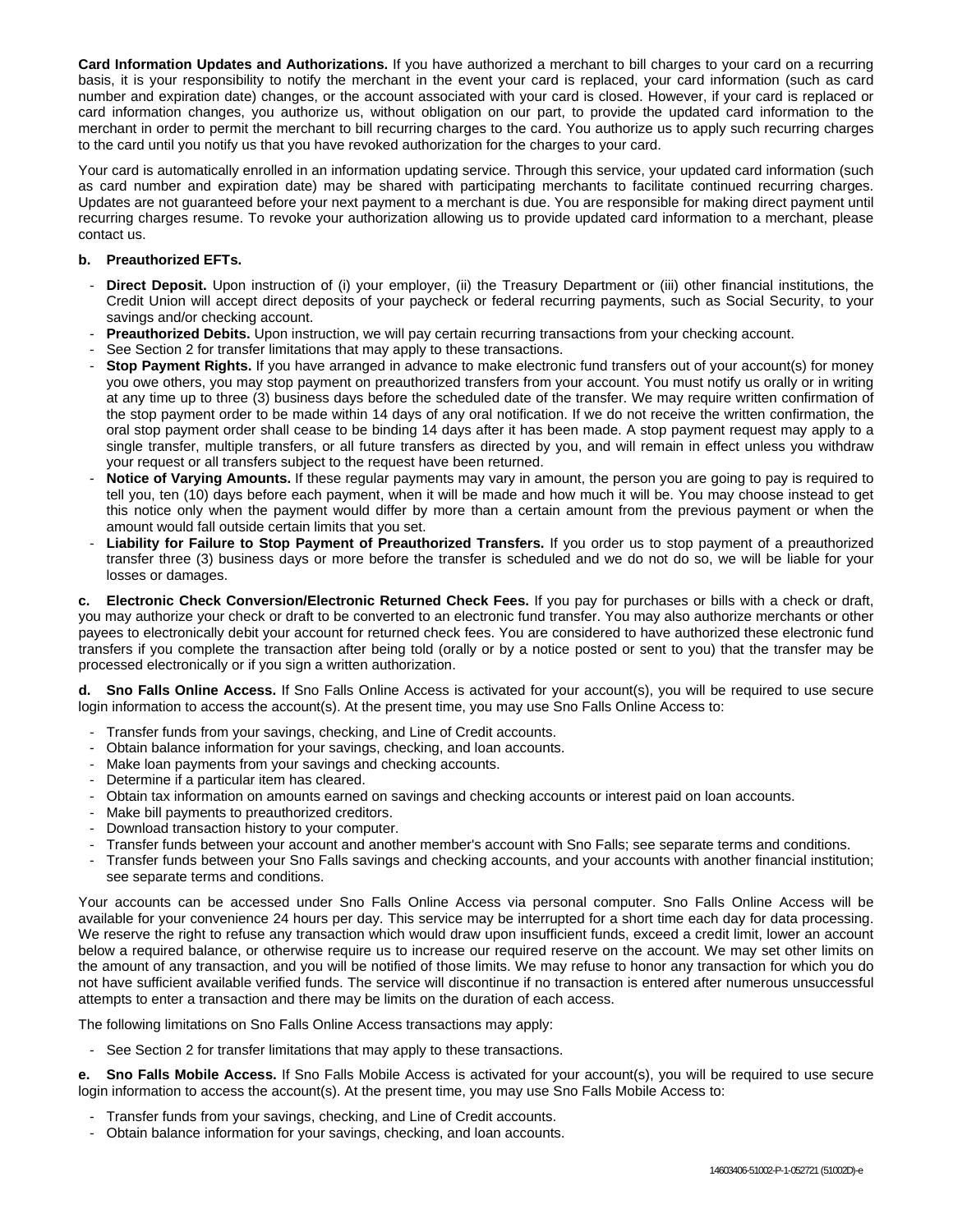**Card Information Updates and Authorizations.** If you have authorized a merchant to bill charges to your card on a recurring basis, it is your responsibility to notify the merchant in the event your card is replaced, your card information (such as card number and expiration date) changes, or the account associated with your card is closed. However, if your card is replaced or card information changes, you authorize us, without obligation on our part, to provide the updated card information to the merchant in order to permit the merchant to bill recurring charges to the card. You authorize us to apply such recurring charges to the card until you notify us that you have revoked authorization for the charges to your card.

Your card is automatically enrolled in an information updating service. Through this service, your updated card information (such as card number and expiration date) may be shared with participating merchants to facilitate continued recurring charges. Updates are not guaranteed before your next payment to a merchant is due. You are responsible for making direct payment until recurring charges resume. To revoke your authorization allowing us to provide updated card information to a merchant, please contact us.

## **b. Preauthorized EFTs.**

- **Direct Deposit.** Upon instruction of (i) your employer, (ii) the Treasury Department or (iii) other financial institutions, the Credit Union will accept direct deposits of your paycheck or federal recurring payments, such as Social Security, to your savings and/or checking account.
- **Preauthorized Debits.** Upon instruction, we will pay certain recurring transactions from your checking account.
- See Section 2 for transfer limitations that may apply to these transactions.
- **Stop Payment Rights.** If you have arranged in advance to make electronic fund transfers out of your account(s) for money you owe others, you may stop payment on preauthorized transfers from your account. You must notify us orally or in writing at any time up to three (3) business days before the scheduled date of the transfer. We may require written confirmation of the stop payment order to be made within 14 days of any oral notification. If we do not receive the written confirmation, the oral stop payment order shall cease to be binding 14 days after it has been made. A stop payment request may apply to a single transfer, multiple transfers, or all future transfers as directed by you, and will remain in effect unless you withdraw your request or all transfers subject to the request have been returned.
- Notice of Varying Amounts. If these regular payments may vary in amount, the person you are going to pay is required to tell you, ten (10) days before each payment, when it will be made and how much it will be. You may choose instead to get this notice only when the payment would differ by more than a certain amount from the previous payment or when the amount would fall outside certain limits that you set.
- Liability for Failure to Stop Payment of Preauthorized Transfers. If you order us to stop payment of a preauthorized transfer three (3) business days or more before the transfer is scheduled and we do not do so, we will be liable for your losses or damages.

**c. Electronic Check Conversion/Electronic Returned Check Fees.** If you pay for purchases or bills with a check or draft, you may authorize your check or draft to be converted to an electronic fund transfer. You may also authorize merchants or other payees to electronically debit your account for returned check fees. You are considered to have authorized these electronic fund transfers if you complete the transaction after being told (orally or by a notice posted or sent to you) that the transfer may be processed electronically or if you sign a written authorization.

**d. Sno Falls Online Access.** If Sno Falls Online Access is activated for your account(s), you will be required to use secure login information to access the account(s). At the present time, you may use Sno Falls Online Access to:

- Transfer funds from your savings, checking, and Line of Credit accounts.
- Obtain balance information for your savings, checking, and loan accounts.
- Make loan payments from your savings and checking accounts.
- Determine if a particular item has cleared.
- Obtain tax information on amounts earned on savings and checking accounts or interest paid on loan accounts.
- Make bill payments to preauthorized creditors.
- Download transaction history to your computer.
- Transfer funds between your account and another member's account with Sno Falls; see separate terms and conditions.
- Transfer funds between your Sno Falls savings and checking accounts, and your accounts with another financial institution; see separate terms and conditions.

Your accounts can be accessed under Sno Falls Online Access via personal computer. Sno Falls Online Access will be available for your convenience 24 hours per day. This service may be interrupted for a short time each day for data processing. We reserve the right to refuse any transaction which would draw upon insufficient funds, exceed a credit limit, lower an account below a required balance, or otherwise require us to increase our required reserve on the account. We may set other limits on the amount of any transaction, and you will be notified of those limits. We may refuse to honor any transaction for which you do not have sufficient available verified funds. The service will discontinue if no transaction is entered after numerous unsuccessful attempts to enter a transaction and there may be limits on the duration of each access.

The following limitations on Sno Falls Online Access transactions may apply:

- See Section 2 for transfer limitations that may apply to these transactions.

**e. Sno Falls Mobile Access.** If Sno Falls Mobile Access is activated for your account(s), you will be required to use secure login information to access the account(s). At the present time, you may use Sno Falls Mobile Access to:

- Transfer funds from your savings, checking, and Line of Credit accounts.
- Obtain balance information for your savings, checking, and loan accounts.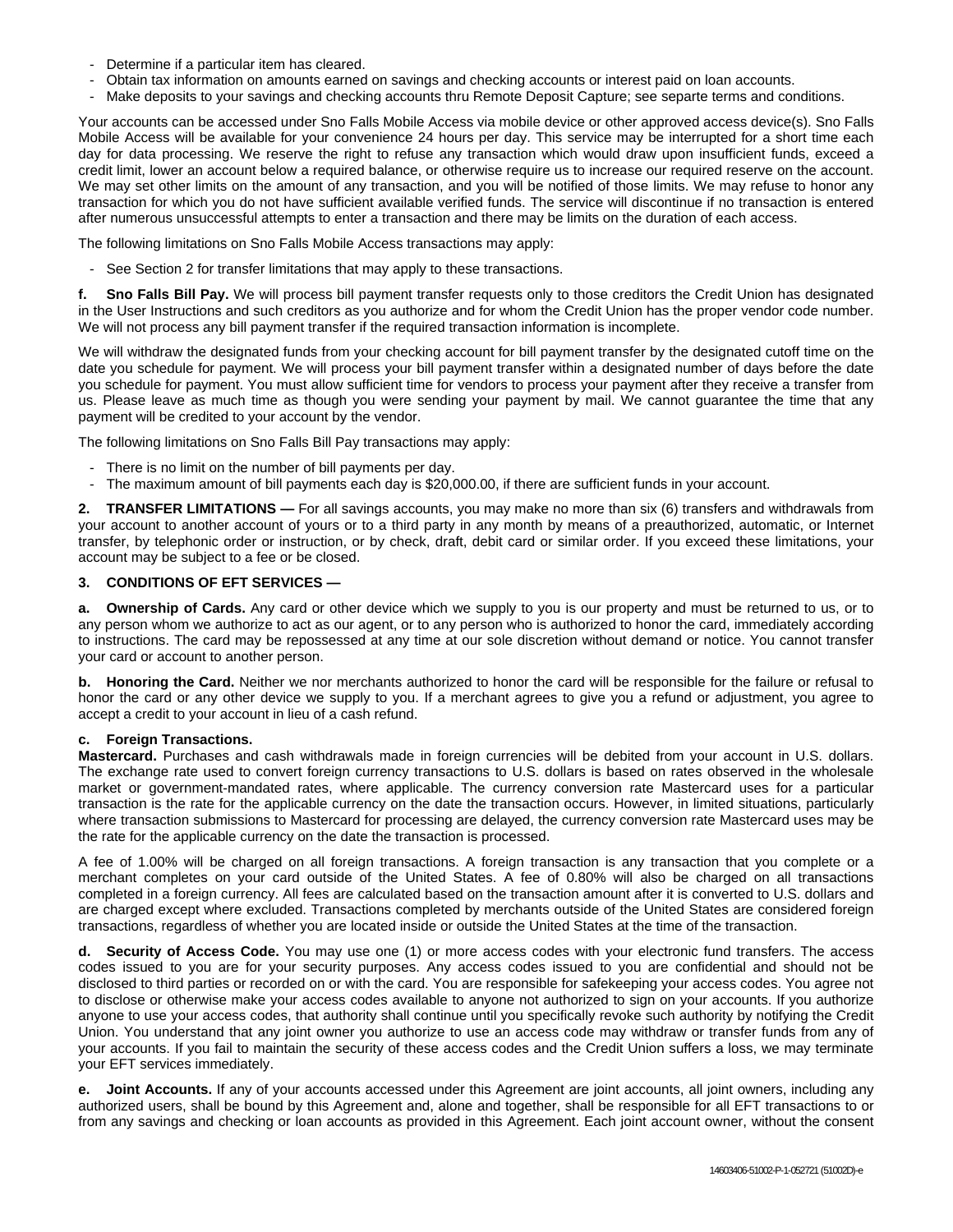- Determine if a particular item has cleared.
- Obtain tax information on amounts earned on savings and checking accounts or interest paid on loan accounts.
- Make deposits to your savings and checking accounts thru Remote Deposit Capture; see separte terms and conditions.

Your accounts can be accessed under Sno Falls Mobile Access via mobile device or other approved access device(s). Sno Falls Mobile Access will be available for your convenience 24 hours per day. This service may be interrupted for a short time each day for data processing. We reserve the right to refuse any transaction which would draw upon insufficient funds, exceed a credit limit, lower an account below a required balance, or otherwise require us to increase our required reserve on the account. We may set other limits on the amount of any transaction, and you will be notified of those limits. We may refuse to honor any transaction for which you do not have sufficient available verified funds. The service will discontinue if no transaction is entered after numerous unsuccessful attempts to enter a transaction and there may be limits on the duration of each access.

The following limitations on Sno Falls Mobile Access transactions may apply:

- See Section 2 for transfer limitations that may apply to these transactions.

**f. Sno Falls Bill Pay.** We will process bill payment transfer requests only to those creditors the Credit Union has designated in the User Instructions and such creditors as you authorize and for whom the Credit Union has the proper vendor code number. We will not process any bill payment transfer if the required transaction information is incomplete.

We will withdraw the designated funds from your checking account for bill payment transfer by the designated cutoff time on the date you schedule for payment. We will process your bill payment transfer within a designated number of days before the date you schedule for payment. You must allow sufficient time for vendors to process your payment after they receive a transfer from us. Please leave as much time as though you were sending your payment by mail. We cannot guarantee the time that any payment will be credited to your account by the vendor.

The following limitations on Sno Falls Bill Pay transactions may apply:

- There is no limit on the number of bill payments per day.
- The maximum amount of bill payments each day is \$20,000.00, if there are sufficient funds in your account.

**2. TRANSFER LIMITATIONS —** For all savings accounts, you may make no more than six (6) transfers and withdrawals from your account to another account of yours or to a third party in any month by means of a preauthorized, automatic, or Internet transfer, by telephonic order or instruction, or by check, draft, debit card or similar order. If you exceed these limitations, your account may be subject to a fee or be closed.

## **3. CONDITIONS OF EFT SERVICES —**

**a. Ownership of Cards.** Any card or other device which we supply to you is our property and must be returned to us, or to any person whom we authorize to act as our agent, or to any person who is authorized to honor the card, immediately according to instructions. The card may be repossessed at any time at our sole discretion without demand or notice. You cannot transfer your card or account to another person.

**b. Honoring the Card.** Neither we nor merchants authorized to honor the card will be responsible for the failure or refusal to honor the card or any other device we supply to you. If a merchant agrees to give you a refund or adjustment, you agree to accept a credit to your account in lieu of a cash refund.

## **c. Foreign Transactions.**

**Mastercard.** Purchases and cash withdrawals made in foreign currencies will be debited from your account in U.S. dollars. The exchange rate used to convert foreign currency transactions to U.S. dollars is based on rates observed in the wholesale market or government-mandated rates, where applicable. The currency conversion rate Mastercard uses for a particular transaction is the rate for the applicable currency on the date the transaction occurs. However, in limited situations, particularly where transaction submissions to Mastercard for processing are delayed, the currency conversion rate Mastercard uses may be the rate for the applicable currency on the date the transaction is processed.

A fee of 1.00% will be charged on all foreign transactions. A foreign transaction is any transaction that you complete or a merchant completes on your card outside of the United States. A fee of 0.80% will also be charged on all transactions completed in a foreign currency. All fees are calculated based on the transaction amount after it is converted to U.S. dollars and are charged except where excluded. Transactions completed by merchants outside of the United States are considered foreign transactions, regardless of whether you are located inside or outside the United States at the time of the transaction.

**d. Security of Access Code.** You may use one (1) or more access codes with your electronic fund transfers. The access codes issued to you are for your security purposes. Any access codes issued to you are confidential and should not be disclosed to third parties or recorded on or with the card. You are responsible for safekeeping your access codes. You agree not to disclose or otherwise make your access codes available to anyone not authorized to sign on your accounts. If you authorize anyone to use your access codes, that authority shall continue until you specifically revoke such authority by notifying the Credit Union. You understand that any joint owner you authorize to use an access code may withdraw or transfer funds from any of your accounts. If you fail to maintain the security of these access codes and the Credit Union suffers a loss, we may terminate your EFT services immediately.

**e. Joint Accounts.** If any of your accounts accessed under this Agreement are joint accounts, all joint owners, including any authorized users, shall be bound by this Agreement and, alone and together, shall be responsible for all EFT transactions to or from any savings and checking or loan accounts as provided in this Agreement. Each joint account owner, without the consent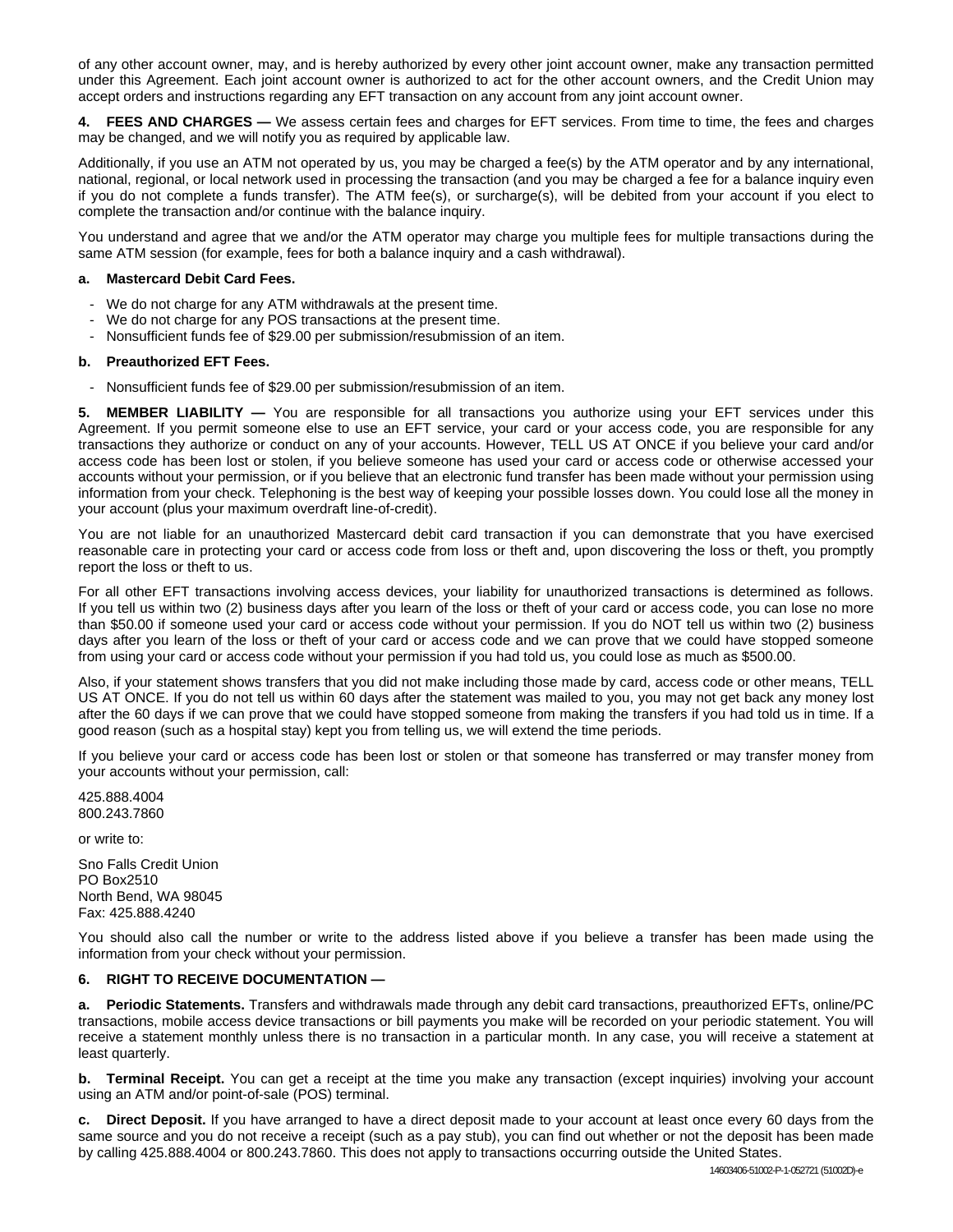of any other account owner, may, and is hereby authorized by every other joint account owner, make any transaction permitted under this Agreement. Each joint account owner is authorized to act for the other account owners, and the Credit Union may accept orders and instructions regarding any EFT transaction on any account from any joint account owner.

**4. FEES AND CHARGES —** We assess certain fees and charges for EFT services. From time to time, the fees and charges may be changed, and we will notify you as required by applicable law.

Additionally, if you use an ATM not operated by us, you may be charged a fee(s) by the ATM operator and by any international, national, regional, or local network used in processing the transaction (and you may be charged a fee for a balance inquiry even if you do not complete a funds transfer). The ATM fee(s), or surcharge(s), will be debited from your account if you elect to complete the transaction and/or continue with the balance inquiry.

You understand and agree that we and/or the ATM operator may charge you multiple fees for multiple transactions during the same ATM session (for example, fees for both a balance inquiry and a cash withdrawal).

## **a. Mastercard Debit Card Fees.**

- We do not charge for any ATM withdrawals at the present time.
- We do not charge for any POS transactions at the present time.
- Nonsufficient funds fee of \$29.00 per submission/resubmission of an item.

## **b. Preauthorized EFT Fees.**

- Nonsufficient funds fee of \$29.00 per submission/resubmission of an item.

**5. MEMBER LIABILITY —** You are responsible for all transactions you authorize using your EFT services under this Agreement. If you permit someone else to use an EFT service, your card or your access code, you are responsible for any transactions they authorize or conduct on any of your accounts. However, TELL US AT ONCE if you believe your card and/or access code has been lost or stolen, if you believe someone has used your card or access code or otherwise accessed your accounts without your permission, or if you believe that an electronic fund transfer has been made without your permission using information from your check. Telephoning is the best way of keeping your possible losses down. You could lose all the money in your account (plus your maximum overdraft line-of-credit).

You are not liable for an unauthorized Mastercard debit card transaction if you can demonstrate that you have exercised reasonable care in protecting your card or access code from loss or theft and, upon discovering the loss or theft, you promptly report the loss or theft to us.

For all other EFT transactions involving access devices, your liability for unauthorized transactions is determined as follows. If you tell us within two (2) business days after you learn of the loss or theft of your card or access code, you can lose no more than \$50.00 if someone used your card or access code without your permission. If you do NOT tell us within two (2) business days after you learn of the loss or theft of your card or access code and we can prove that we could have stopped someone from using your card or access code without your permission if you had told us, you could lose as much as \$500.00.

Also, if your statement shows transfers that you did not make including those made by card, access code or other means, TELL US AT ONCE. If you do not tell us within 60 days after the statement was mailed to you, you may not get back any money lost after the 60 days if we can prove that we could have stopped someone from making the transfers if you had told us in time. If a good reason (such as a hospital stay) kept you from telling us, we will extend the time periods.

If you believe your card or access code has been lost or stolen or that someone has transferred or may transfer money from your accounts without your permission, call:

425.888.4004 800.243.7860

or write to:

Sno Falls Credit Union PO Box2510 North Bend, WA 98045 Fax: 425.888.4240

You should also call the number or write to the address listed above if you believe a transfer has been made using the information from your check without your permission.

## **6. RIGHT TO RECEIVE DOCUMENTATION —**

**a. Periodic Statements.** Transfers and withdrawals made through any debit card transactions, preauthorized EFTs, online/PC transactions, mobile access device transactions or bill payments you make will be recorded on your periodic statement. You will receive a statement monthly unless there is no transaction in a particular month. In any case, you will receive a statement at least quarterly.

**b. Terminal Receipt.** You can get a receipt at the time you make any transaction (except inquiries) involving your account using an ATM and/or point-of-sale (POS) terminal.

**c. Direct Deposit.** If you have arranged to have a direct deposit made to your account at least once every 60 days from the same source and you do not receive a receipt (such as a pay stub), you can find out whether or not the deposit has been made by calling 425.888.4004 or 800.243.7860. This does not apply to transactions occurring outside the United States.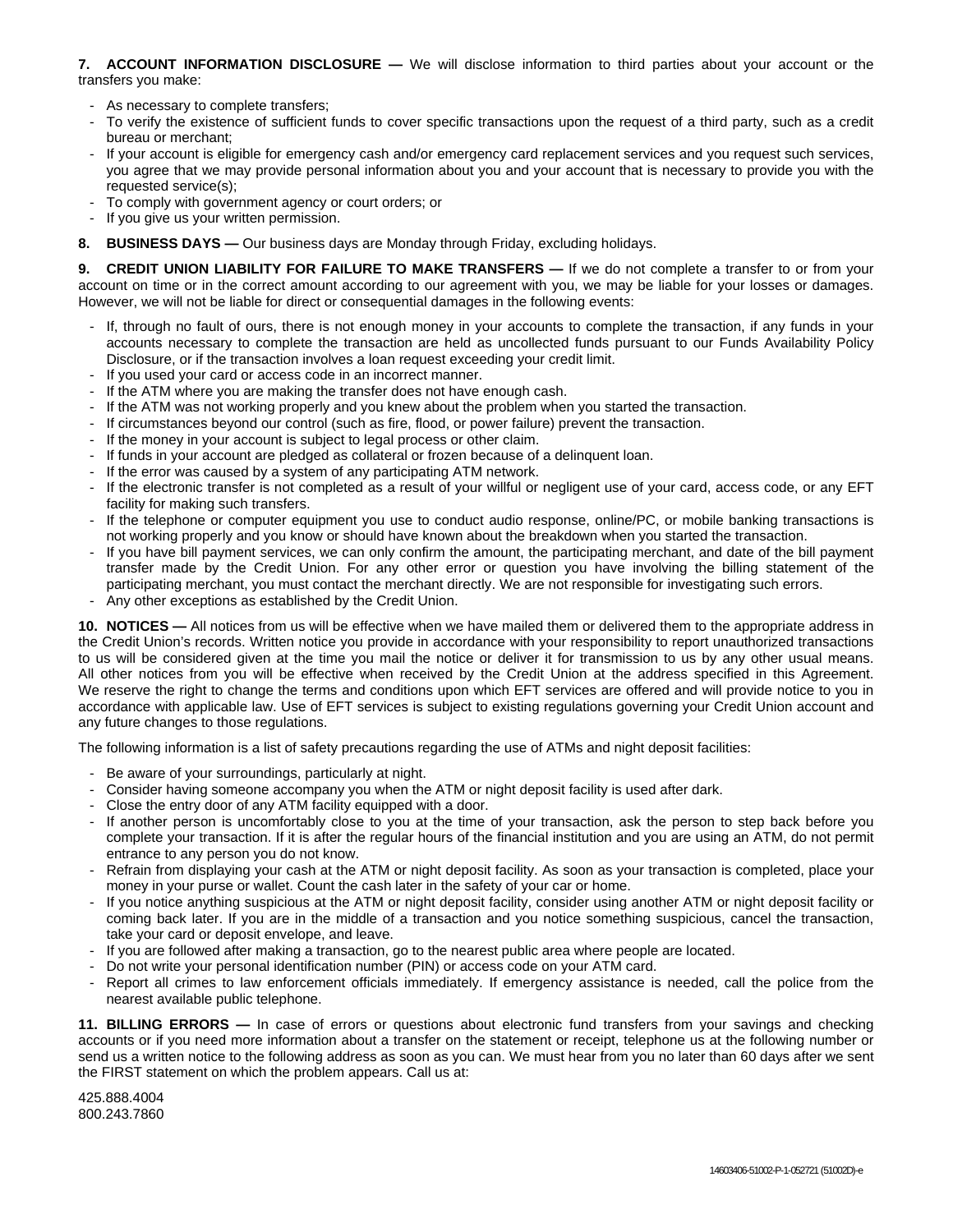## **7. ACCOUNT INFORMATION DISCLOSURE —** We will disclose information to third parties about your account or the transfers you make:

- As necessary to complete transfers;
- To verify the existence of sufficient funds to cover specific transactions upon the request of a third party, such as a credit bureau or merchant;
- If your account is eligible for emergency cash and/or emergency card replacement services and you request such services, you agree that we may provide personal information about you and your account that is necessary to provide you with the requested service(s);
- To comply with government agency or court orders; or
- If you give us your written permission.
- **8. BUSINESS DAYS —** Our business days are Monday through Friday, excluding holidays.

**9. CREDIT UNION LIABILITY FOR FAILURE TO MAKE TRANSFERS —** If we do not complete a transfer to or from your account on time or in the correct amount according to our agreement with you, we may be liable for your losses or damages. However, we will not be liable for direct or consequential damages in the following events:

- If, through no fault of ours, there is not enough money in your accounts to complete the transaction, if any funds in your accounts necessary to complete the transaction are held as uncollected funds pursuant to our Funds Availability Policy Disclosure, or if the transaction involves a loan request exceeding your credit limit.
- If you used your card or access code in an incorrect manner.
- If the ATM where you are making the transfer does not have enough cash.
- If the ATM was not working properly and you knew about the problem when you started the transaction.
- If circumstances beyond our control (such as fire, flood, or power failure) prevent the transaction.
- If the money in your account is subject to legal process or other claim.
- If funds in your account are pledged as collateral or frozen because of a delinquent loan.
- If the error was caused by a system of any participating ATM network.
- If the electronic transfer is not completed as a result of your willful or negligent use of your card, access code, or any EFT facility for making such transfers.
- If the telephone or computer equipment you use to conduct audio response, online/PC, or mobile banking transactions is not working properly and you know or should have known about the breakdown when you started the transaction.
- If you have bill payment services, we can only confirm the amount, the participating merchant, and date of the bill payment transfer made by the Credit Union. For any other error or question you have involving the billing statement of the participating merchant, you must contact the merchant directly. We are not responsible for investigating such errors.
- Any other exceptions as established by the Credit Union.

**10. NOTICES —** All notices from us will be effective when we have mailed them or delivered them to the appropriate address in the Credit Union's records. Written notice you provide in accordance with your responsibility to report unauthorized transactions to us will be considered given at the time you mail the notice or deliver it for transmission to us by any other usual means. All other notices from you will be effective when received by the Credit Union at the address specified in this Agreement. We reserve the right to change the terms and conditions upon which EFT services are offered and will provide notice to you in accordance with applicable law. Use of EFT services is subject to existing regulations governing your Credit Union account and any future changes to those regulations.

The following information is a list of safety precautions regarding the use of ATMs and night deposit facilities:

- Be aware of your surroundings, particularly at night.
- Consider having someone accompany you when the ATM or night deposit facility is used after dark.
- Close the entry door of any ATM facility equipped with a door.
- If another person is uncomfortably close to you at the time of your transaction, ask the person to step back before you complete your transaction. If it is after the regular hours of the financial institution and you are using an ATM, do not permit entrance to any person you do not know.
- Refrain from displaying your cash at the ATM or night deposit facility. As soon as your transaction is completed, place your money in your purse or wallet. Count the cash later in the safety of your car or home.
- If you notice anything suspicious at the ATM or night deposit facility, consider using another ATM or night deposit facility or coming back later. If you are in the middle of a transaction and you notice something suspicious, cancel the transaction, take your card or deposit envelope, and leave.
- If you are followed after making a transaction, go to the nearest public area where people are located.
- Do not write your personal identification number (PIN) or access code on your ATM card.
- Report all crimes to law enforcement officials immediately. If emergency assistance is needed, call the police from the nearest available public telephone.

**11. BILLING ERRORS —** In case of errors or questions about electronic fund transfers from your savings and checking accounts or if you need more information about a transfer on the statement or receipt, telephone us at the following number or send us a written notice to the following address as soon as you can. We must hear from you no later than 60 days after we sent the FIRST statement on which the problem appears. Call us at:

425.888.4004 800.243.7860